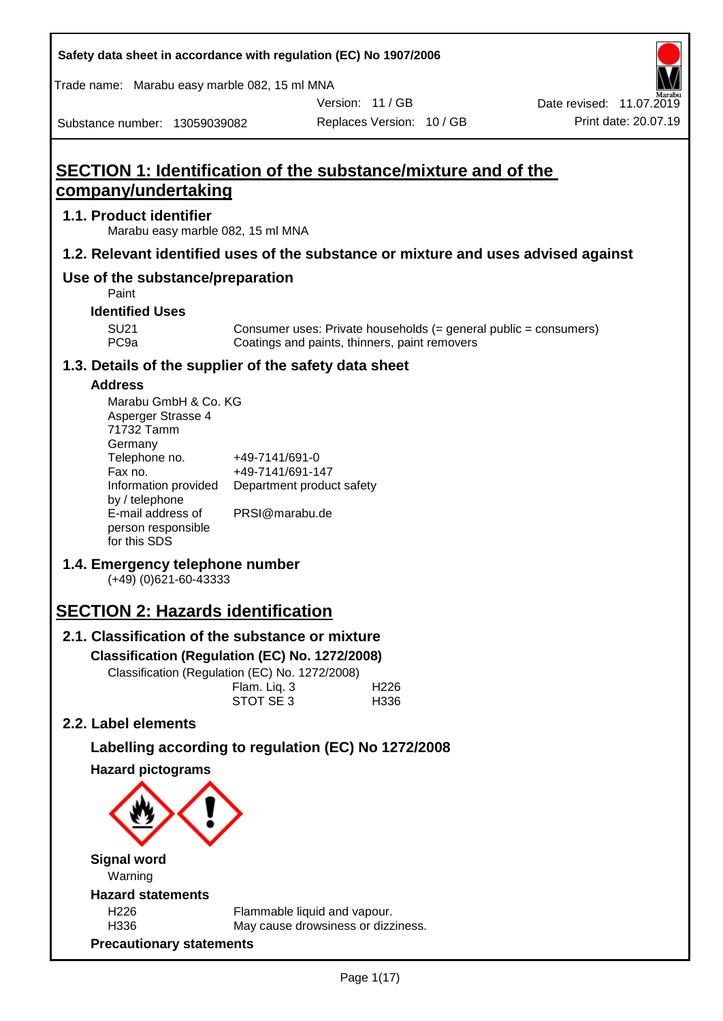| Safety data sheet in accordance with regulation (EC) No 1907/2006                                  |                                    |                                                                    |                           |                                                                    |
|----------------------------------------------------------------------------------------------------|------------------------------------|--------------------------------------------------------------------|---------------------------|--------------------------------------------------------------------|
| Trade name: Marabu easy marble 082, 15 ml MNA                                                      |                                    |                                                                    |                           |                                                                    |
|                                                                                                    |                                    |                                                                    | Version: 11 / GB          | Date revised: 11.07.2019                                           |
| Substance number: 13059039082                                                                      |                                    |                                                                    | Replaces Version: 10 / GB | Print date: 20.07.19                                               |
| <b>SECTION 1: Identification of the substance/mixture and of the</b><br><u>company/undertaking</u> |                                    |                                                                    |                           |                                                                    |
| 1.1. Product identifier<br>Marabu easy marble 082, 15 ml MNA                                       |                                    |                                                                    |                           |                                                                    |
| 1.2. Relevant identified uses of the substance or mixture and uses advised against                 |                                    |                                                                    |                           |                                                                    |
| Use of the substance/preparation<br>Paint                                                          |                                    |                                                                    |                           |                                                                    |
| <b>Identified Uses</b>                                                                             |                                    |                                                                    |                           |                                                                    |
| <b>SU21</b><br>PC <sub>9a</sub>                                                                    |                                    | Coatings and paints, thinners, paint removers                      |                           | Consumer uses: Private households $(=$ general public = consumers) |
| 1.3. Details of the supplier of the safety data sheet                                              |                                    |                                                                    |                           |                                                                    |
| <b>Address</b><br>Marabu GmbH & Co. KG<br>Asperger Strasse 4<br>71732 Tamm<br>Germany              |                                    |                                                                    |                           |                                                                    |
| Telephone no.<br>Fax no.<br>Information provided<br>by / telephone                                 | +49-7141/691-0<br>+49-7141/691-147 | Department product safety                                          |                           |                                                                    |
| E-mail address of<br>person responsible<br>for this SDS                                            | PRSI@marabu.de                     |                                                                    |                           |                                                                    |
| 1.4. Emergency telephone number<br>$(+49)$ (0)621-60-43333                                         |                                    |                                                                    |                           |                                                                    |
| <b>SECTION 2: Hazards identification</b>                                                           |                                    |                                                                    |                           |                                                                    |
| 2.1. Classification of the substance or mixture                                                    |                                    |                                                                    |                           |                                                                    |
| Classification (Regulation (EC) No. 1272/2008)                                                     |                                    |                                                                    |                           |                                                                    |
| Classification (Regulation (EC) No. 1272/2008)                                                     |                                    |                                                                    |                           |                                                                    |
|                                                                                                    | Flam. Liq. 3<br>STOT SE 3          |                                                                    | H <sub>226</sub><br>H336  |                                                                    |
| 2.2. Label elements                                                                                |                                    |                                                                    |                           |                                                                    |
| Labelling according to regulation (EC) No 1272/2008                                                |                                    |                                                                    |                           |                                                                    |
| <b>Hazard pictograms</b>                                                                           |                                    |                                                                    |                           |                                                                    |
|                                                                                                    |                                    |                                                                    |                           |                                                                    |
| <b>Signal word</b><br>Warning                                                                      |                                    |                                                                    |                           |                                                                    |
| <b>Hazard statements</b>                                                                           |                                    |                                                                    |                           |                                                                    |
| H <sub>226</sub><br>H336                                                                           |                                    | Flammable liquid and vapour.<br>May cause drowsiness or dizziness. |                           |                                                                    |
| <b>Precautionary statements</b>                                                                    |                                    |                                                                    |                           |                                                                    |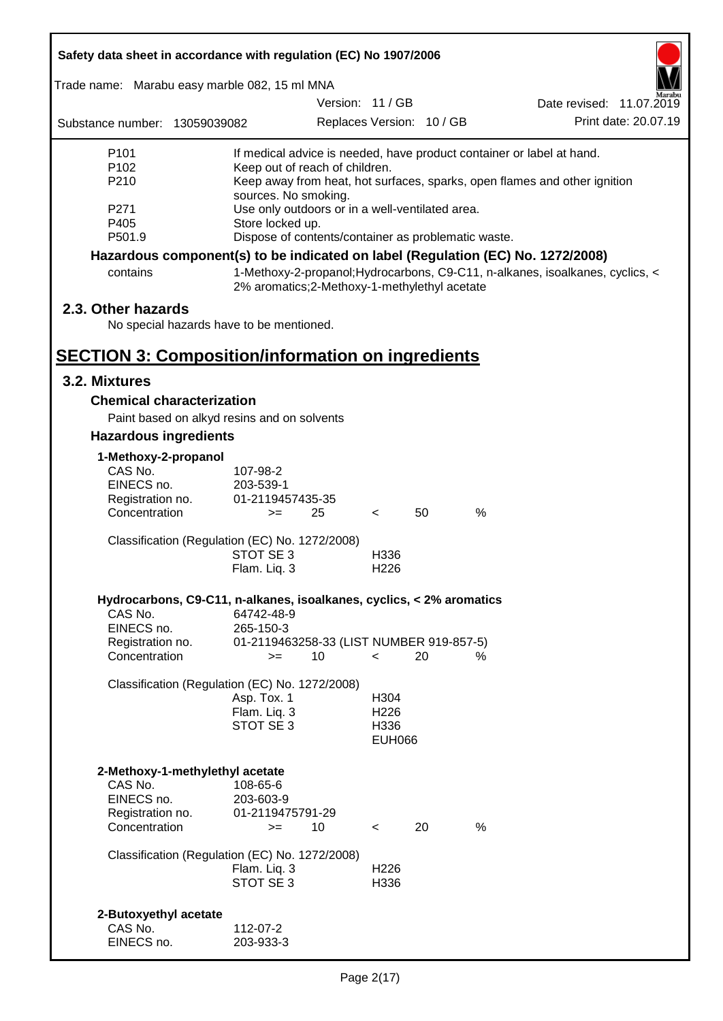|                                  | Safety data sheet in accordance with regulation (EC) No 1907/2006               |                                                                         |                          |    |      |                                                                               |
|----------------------------------|---------------------------------------------------------------------------------|-------------------------------------------------------------------------|--------------------------|----|------|-------------------------------------------------------------------------------|
|                                  | Trade name: Marabu easy marble 082, 15 ml MNA                                   |                                                                         |                          |    |      |                                                                               |
|                                  |                                                                                 | Version: 11 / GB                                                        |                          |    |      | Date revised: 11.07.2019                                                      |
| Substance number: 13059039082    |                                                                                 | Replaces Version: 10 / GB                                               |                          |    |      | Print date: 20.07.19                                                          |
| P101                             |                                                                                 |                                                                         |                          |    |      | If medical advice is needed, have product container or label at hand.         |
| P <sub>102</sub>                 |                                                                                 | Keep out of reach of children.                                          |                          |    |      |                                                                               |
| P210                             |                                                                                 |                                                                         |                          |    |      | Keep away from heat, hot surfaces, sparks, open flames and other ignition     |
| P271                             |                                                                                 | sources. No smoking.<br>Use only outdoors or in a well-ventilated area. |                          |    |      |                                                                               |
| P405                             | Store locked up.                                                                |                                                                         |                          |    |      |                                                                               |
| P501.9                           |                                                                                 | Dispose of contents/container as problematic waste.                     |                          |    |      |                                                                               |
|                                  | Hazardous component(s) to be indicated on label (Regulation (EC) No. 1272/2008) |                                                                         |                          |    |      |                                                                               |
| contains                         |                                                                                 | 2% aromatics;2-Methoxy-1-methylethyl acetate                            |                          |    |      | 1-Methoxy-2-propanol; Hydrocarbons, C9-C11, n-alkanes, isoalkanes, cyclics, < |
| 2.3. Other hazards               |                                                                                 |                                                                         |                          |    |      |                                                                               |
|                                  | No special hazards have to be mentioned.                                        |                                                                         |                          |    |      |                                                                               |
|                                  |                                                                                 |                                                                         |                          |    |      |                                                                               |
|                                  | <b>SECTION 3: Composition/information on ingredients</b>                        |                                                                         |                          |    |      |                                                                               |
| 3.2. Mixtures                    |                                                                                 |                                                                         |                          |    |      |                                                                               |
|                                  | <b>Chemical characterization</b>                                                |                                                                         |                          |    |      |                                                                               |
|                                  | Paint based on alkyd resins and on solvents                                     |                                                                         |                          |    |      |                                                                               |
| <b>Hazardous ingredients</b>     |                                                                                 |                                                                         |                          |    |      |                                                                               |
| 1-Methoxy-2-propanol             |                                                                                 |                                                                         |                          |    |      |                                                                               |
| CAS No.                          | 107-98-2                                                                        |                                                                         |                          |    |      |                                                                               |
| EINECS no.                       | 203-539-1                                                                       |                                                                         |                          |    |      |                                                                               |
| Registration no.                 | 01-2119457435-35                                                                |                                                                         |                          |    |      |                                                                               |
| Concentration                    | $>=$                                                                            | 25                                                                      | $\lt$                    | 50 | %    |                                                                               |
|                                  | Classification (Regulation (EC) No. 1272/2008)                                  |                                                                         |                          |    |      |                                                                               |
|                                  | STOT SE 3                                                                       |                                                                         | H336                     |    |      |                                                                               |
|                                  | Flam. Liq. 3                                                                    |                                                                         | H <sub>226</sub>         |    |      |                                                                               |
|                                  | Hydrocarbons, C9-C11, n-alkanes, isoalkanes, cyclics, < 2% aromatics            |                                                                         |                          |    |      |                                                                               |
| CAS No.                          | 64742-48-9                                                                      |                                                                         |                          |    |      |                                                                               |
| EINECS no.                       | 265-150-3                                                                       |                                                                         |                          |    |      |                                                                               |
| Registration no.                 |                                                                                 | 01-2119463258-33 (LIST NUMBER 919-857-5)                                |                          |    |      |                                                                               |
| Concentration                    | $>=$                                                                            | 10                                                                      | $\lt$                    | 20 | %    |                                                                               |
|                                  | Classification (Regulation (EC) No. 1272/2008)                                  |                                                                         |                          |    |      |                                                                               |
|                                  | Asp. Tox. 1                                                                     |                                                                         | H304                     |    |      |                                                                               |
|                                  | Flam. Liq. 3                                                                    |                                                                         | H <sub>226</sub>         |    |      |                                                                               |
|                                  | STOT SE 3                                                                       |                                                                         | H336                     |    |      |                                                                               |
|                                  |                                                                                 |                                                                         | <b>EUH066</b>            |    |      |                                                                               |
|                                  | 2-Methoxy-1-methylethyl acetate                                                 |                                                                         |                          |    |      |                                                                               |
| CAS No.                          | 108-65-6                                                                        |                                                                         |                          |    |      |                                                                               |
| EINECS no.                       | 203-603-9                                                                       |                                                                         |                          |    |      |                                                                               |
| Registration no.                 | 01-2119475791-29                                                                |                                                                         |                          |    |      |                                                                               |
| Concentration                    | $>=$                                                                            | 10                                                                      | $\overline{\phantom{0}}$ | 20 | $\%$ |                                                                               |
|                                  | Classification (Regulation (EC) No. 1272/2008)                                  |                                                                         |                          |    |      |                                                                               |
|                                  | Flam. Liq. 3                                                                    |                                                                         | H <sub>226</sub>         |    |      |                                                                               |
|                                  | STOT SE 3                                                                       |                                                                         | H336                     |    |      |                                                                               |
|                                  |                                                                                 |                                                                         |                          |    |      |                                                                               |
| 2-Butoxyethyl acetate<br>CAS No. | 112-07-2                                                                        |                                                                         |                          |    |      |                                                                               |
| EINECS no.                       | 203-933-3                                                                       |                                                                         |                          |    |      |                                                                               |
|                                  |                                                                                 |                                                                         |                          |    |      |                                                                               |

Г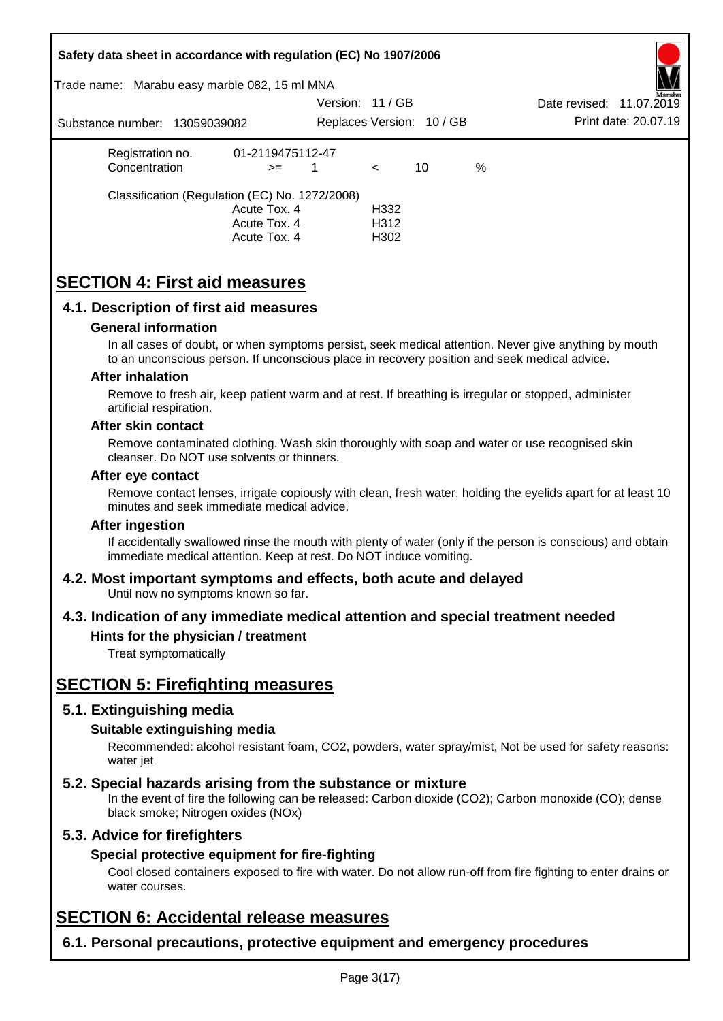|                         |                               | Safety data sheet in accordance with regulation (EC) No 1907/2006                                       |                |              |                           |   |                                                                                                                                                                                                       |
|-------------------------|-------------------------------|---------------------------------------------------------------------------------------------------------|----------------|--------------|---------------------------|---|-------------------------------------------------------------------------------------------------------------------------------------------------------------------------------------------------------|
|                         |                               | Trade name: Marabu easy marble 082, 15 ml MNA                                                           |                |              |                           |   |                                                                                                                                                                                                       |
|                         |                               |                                                                                                         | Version: 11/GB |              |                           |   | Date revised: 11.07.2019                                                                                                                                                                              |
|                         | Substance number: 13059039082 |                                                                                                         |                |              | Replaces Version: 10 / GB |   | Print date: 20.07.19                                                                                                                                                                                  |
| Registration no.        |                               | 01-2119475112-47                                                                                        |                |              |                           |   |                                                                                                                                                                                                       |
| Concentration           |                               | $>=$                                                                                                    | $\mathbf{1}$   | $\prec$      | 10                        | % |                                                                                                                                                                                                       |
|                         |                               | Classification (Regulation (EC) No. 1272/2008)                                                          |                |              |                           |   |                                                                                                                                                                                                       |
|                         |                               | Acute Tox. 4<br>Acute Tox. 4                                                                            |                | H332<br>H312 |                           |   |                                                                                                                                                                                                       |
|                         |                               | Acute Tox. 4                                                                                            |                | H302         |                           |   |                                                                                                                                                                                                       |
|                         |                               |                                                                                                         |                |              |                           |   |                                                                                                                                                                                                       |
|                         |                               | <b>SECTION 4: First aid measures</b>                                                                    |                |              |                           |   |                                                                                                                                                                                                       |
|                         |                               | 4.1. Description of first aid measures                                                                  |                |              |                           |   |                                                                                                                                                                                                       |
|                         | <b>General information</b>    |                                                                                                         |                |              |                           |   |                                                                                                                                                                                                       |
|                         |                               |                                                                                                         |                |              |                           |   | In all cases of doubt, or when symptoms persist, seek medical attention. Never give anything by mouth<br>to an unconscious person. If unconscious place in recovery position and seek medical advice. |
| <b>After inhalation</b> |                               |                                                                                                         |                |              |                           |   |                                                                                                                                                                                                       |
| artificial respiration. |                               |                                                                                                         |                |              |                           |   | Remove to fresh air, keep patient warm and at rest. If breathing is irregular or stopped, administer                                                                                                  |
| After skin contact      |                               |                                                                                                         |                |              |                           |   |                                                                                                                                                                                                       |
|                         |                               | cleanser. Do NOT use solvents or thinners.                                                              |                |              |                           |   | Remove contaminated clothing. Wash skin thoroughly with soap and water or use recognised skin                                                                                                         |
| After eye contact       |                               |                                                                                                         |                |              |                           |   |                                                                                                                                                                                                       |
|                         |                               | minutes and seek immediate medical advice.                                                              |                |              |                           |   | Remove contact lenses, irrigate copiously with clean, fresh water, holding the eyelids apart for at least 10                                                                                          |
| <b>After ingestion</b>  |                               |                                                                                                         |                |              |                           |   |                                                                                                                                                                                                       |
|                         |                               | immediate medical attention. Keep at rest. Do NOT induce vomiting.                                      |                |              |                           |   | If accidentally swallowed rinse the mouth with plenty of water (only if the person is conscious) and obtain                                                                                           |
|                         |                               | 4.2. Most important symptoms and effects, both acute and delayed<br>Until now no symptoms known so far. |                |              |                           |   |                                                                                                                                                                                                       |
|                         |                               |                                                                                                         |                |              |                           |   | 4.3. Indication of any immediate medical attention and special treatment needed                                                                                                                       |
|                         | Treat symptomatically         | Hints for the physician / treatment                                                                     |                |              |                           |   |                                                                                                                                                                                                       |
|                         |                               | <b>SECTION 5: Firefighting measures</b>                                                                 |                |              |                           |   |                                                                                                                                                                                                       |
|                         |                               |                                                                                                         |                |              |                           |   |                                                                                                                                                                                                       |
|                         | 5.1. Extinguishing media      |                                                                                                         |                |              |                           |   |                                                                                                                                                                                                       |
| water jet               | Suitable extinguishing media  |                                                                                                         |                |              |                           |   | Recommended: alcohol resistant foam, CO2, powders, water spray/mist, Not be used for safety reasons:                                                                                                  |
|                         |                               |                                                                                                         |                |              |                           |   |                                                                                                                                                                                                       |
|                         |                               | 5.2. Special hazards arising from the substance or mixture<br>black smoke; Nitrogen oxides (NOx)        |                |              |                           |   | In the event of fire the following can be released: Carbon dioxide (CO2); Carbon monoxide (CO); dense                                                                                                 |
|                         | 5.3. Advice for firefighters  |                                                                                                         |                |              |                           |   |                                                                                                                                                                                                       |
|                         |                               | Special protective equipment for fire-fighting                                                          |                |              |                           |   |                                                                                                                                                                                                       |
| water courses.          |                               |                                                                                                         |                |              |                           |   | Cool closed containers exposed to fire with water. Do not allow run-off from fire fighting to enter drains or                                                                                         |
|                         |                               | <b>SECTION 6: Accidental release measures</b>                                                           |                |              |                           |   |                                                                                                                                                                                                       |
|                         |                               | 6.1. Personal precautions, protective equipment and emergency procedures                                |                |              |                           |   |                                                                                                                                                                                                       |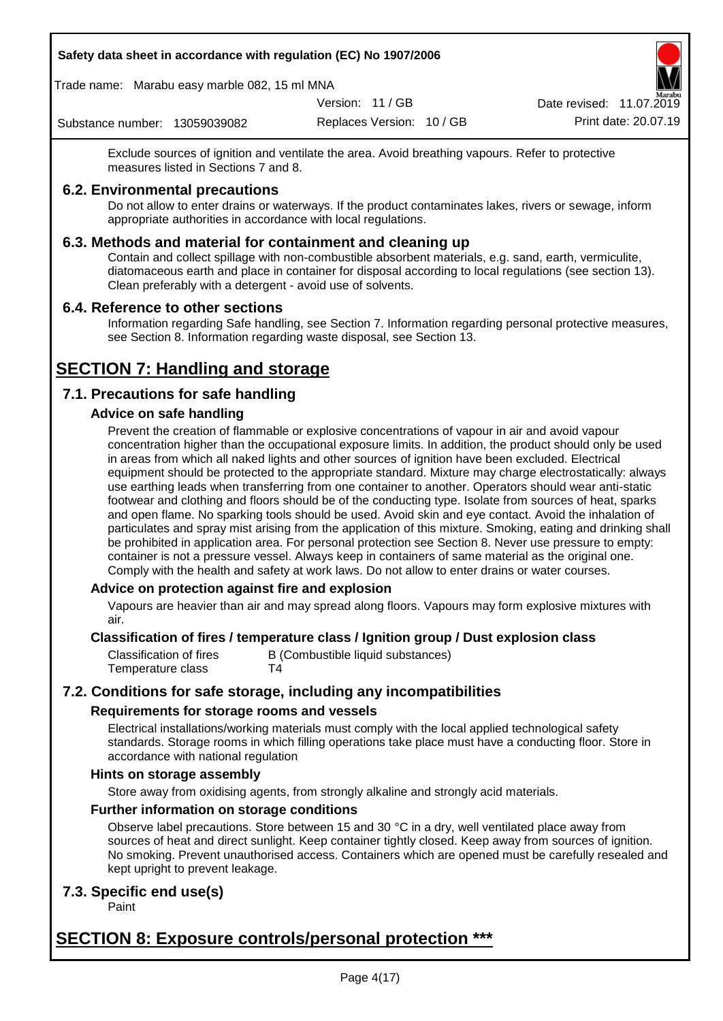Trade name: Marabu easy marble 082, 15 ml MNA

Version: 11 / GB

Replaces Version: 10 / GB Print date: 20.07.19 Date revised: 11.07.2019

Substance number: 13059039082

Exclude sources of ignition and ventilate the area. Avoid breathing vapours. Refer to protective measures listed in Sections 7 and 8.

## **6.2. Environmental precautions**

Do not allow to enter drains or waterways. If the product contaminates lakes, rivers or sewage, inform appropriate authorities in accordance with local regulations.

## **6.3. Methods and material for containment and cleaning up**

Contain and collect spillage with non-combustible absorbent materials, e.g. sand, earth, vermiculite, diatomaceous earth and place in container for disposal according to local regulations (see section 13). Clean preferably with a detergent - avoid use of solvents.

## **6.4. Reference to other sections**

Information regarding Safe handling, see Section 7. Information regarding personal protective measures, see Section 8. Information regarding waste disposal, see Section 13.

# **SECTION 7: Handling and storage**

## **7.1. Precautions for safe handling**

## **Advice on safe handling**

Prevent the creation of flammable or explosive concentrations of vapour in air and avoid vapour concentration higher than the occupational exposure limits. In addition, the product should only be used in areas from which all naked lights and other sources of ignition have been excluded. Electrical equipment should be protected to the appropriate standard. Mixture may charge electrostatically: always use earthing leads when transferring from one container to another. Operators should wear anti-static footwear and clothing and floors should be of the conducting type. Isolate from sources of heat, sparks and open flame. No sparking tools should be used. Avoid skin and eye contact. Avoid the inhalation of particulates and spray mist arising from the application of this mixture. Smoking, eating and drinking shall be prohibited in application area. For personal protection see Section 8. Never use pressure to empty: container is not a pressure vessel. Always keep in containers of same material as the original one. Comply with the health and safety at work laws. Do not allow to enter drains or water courses.

## **Advice on protection against fire and explosion**

Vapours are heavier than air and may spread along floors. Vapours may form explosive mixtures with air.

## **Classification of fires / temperature class / Ignition group / Dust explosion class**

Classification of fires B (Combustible liquid substances) Temperature class T4

## **7.2. Conditions for safe storage, including any incompatibilities**

## **Requirements for storage rooms and vessels**

Electrical installations/working materials must comply with the local applied technological safety standards. Storage rooms in which filling operations take place must have a conducting floor. Store in accordance with national regulation

## **Hints on storage assembly**

Store away from oxidising agents, from strongly alkaline and strongly acid materials.

## **Further information on storage conditions**

Observe label precautions. Store between 15 and 30 °C in a dry, well ventilated place away from sources of heat and direct sunlight. Keep container tightly closed. Keep away from sources of ignition. No smoking. Prevent unauthorised access. Containers which are opened must be carefully resealed and kept upright to prevent leakage.

## **7.3. Specific end use(s)**

Paint

## **SECTION 8: Exposure controls/personal protection \*\*\***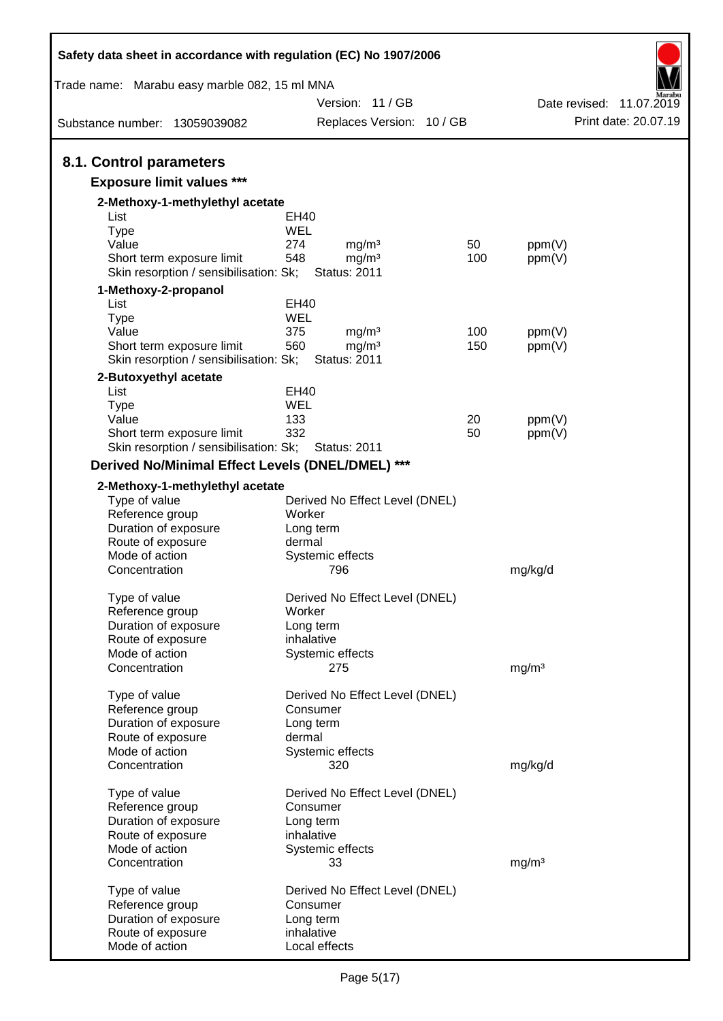| Safety data sheet in accordance with regulation (EC) No 1907/2006   |        |                                               |     |                   |                                                  |
|---------------------------------------------------------------------|--------|-----------------------------------------------|-----|-------------------|--------------------------------------------------|
| Trade name: Marabu easy marble 082, 15 ml MNA                       |        |                                               |     |                   |                                                  |
| Substance number: 13059039082                                       |        | Version: 11 / GB<br>Replaces Version: 10 / GB |     |                   | Date revised: 11.07.2019<br>Print date: 20.07.19 |
|                                                                     |        |                                               |     |                   |                                                  |
| 8.1. Control parameters                                             |        |                                               |     |                   |                                                  |
| <b>Exposure limit values ***</b>                                    |        |                                               |     |                   |                                                  |
| 2-Methoxy-1-methylethyl acetate                                     |        |                                               |     |                   |                                                  |
| List                                                                | EH40   |                                               |     |                   |                                                  |
| <b>Type</b>                                                         | WEL    |                                               |     |                   |                                                  |
| Value                                                               | 274    | mg/m <sup>3</sup>                             | 50  | ppm(V)            |                                                  |
| Short term exposure limit<br>Skin resorption / sensibilisation: Sk; | 548    | mg/m <sup>3</sup><br><b>Status: 2011</b>      | 100 | ppm(V)            |                                                  |
| 1-Methoxy-2-propanol                                                |        |                                               |     |                   |                                                  |
| List                                                                | EH40   |                                               |     |                   |                                                  |
| <b>Type</b>                                                         | WEL    |                                               |     |                   |                                                  |
| Value                                                               | 375    | mg/m <sup>3</sup>                             | 100 | ppm(V)            |                                                  |
| Short term exposure limit                                           | 560    | mg/m <sup>3</sup>                             | 150 | ppm(V)            |                                                  |
| Skin resorption / sensibilisation: Sk;                              |        | <b>Status: 2011</b>                           |     |                   |                                                  |
| 2-Butoxyethyl acetate<br>List                                       | EH40   |                                               |     |                   |                                                  |
| <b>Type</b>                                                         | WEL    |                                               |     |                   |                                                  |
| Value                                                               | 133    |                                               | 20  | ppm(V)            |                                                  |
| Short term exposure limit                                           | 332    |                                               | 50  | ppm(V)            |                                                  |
| Skin resorption / sensibilisation: Sk;                              |        | <b>Status: 2011</b>                           |     |                   |                                                  |
| Derived No/Minimal Effect Levels (DNEL/DMEL) ***                    |        |                                               |     |                   |                                                  |
| 2-Methoxy-1-methylethyl acetate                                     |        |                                               |     |                   |                                                  |
| Type of value                                                       |        | Derived No Effect Level (DNEL)                |     |                   |                                                  |
| Reference group                                                     | Worker |                                               |     |                   |                                                  |
| Duration of exposure                                                |        | Long term                                     |     |                   |                                                  |
| Route of exposure                                                   | dermal |                                               |     |                   |                                                  |
| Mode of action                                                      |        | Systemic effects                              |     |                   |                                                  |
| Concentration                                                       |        | 796                                           |     | mg/kg/d           |                                                  |
| Type of value                                                       |        | Derived No Effect Level (DNEL)                |     |                   |                                                  |
| Reference group                                                     | Worker |                                               |     |                   |                                                  |
| Duration of exposure                                                |        | Long term                                     |     |                   |                                                  |
| Route of exposure                                                   |        | inhalative                                    |     |                   |                                                  |
| Mode of action                                                      |        | Systemic effects                              |     |                   |                                                  |
| Concentration                                                       |        | 275                                           |     | mg/m <sup>3</sup> |                                                  |
| Type of value                                                       |        | Derived No Effect Level (DNEL)                |     |                   |                                                  |
| Reference group                                                     |        | Consumer                                      |     |                   |                                                  |
| Duration of exposure                                                |        | Long term                                     |     |                   |                                                  |
| Route of exposure                                                   | dermal |                                               |     |                   |                                                  |
| Mode of action                                                      |        | Systemic effects                              |     |                   |                                                  |
| Concentration                                                       |        | 320                                           |     | mg/kg/d           |                                                  |
| Type of value                                                       |        | Derived No Effect Level (DNEL)                |     |                   |                                                  |
| Reference group                                                     |        | Consumer                                      |     |                   |                                                  |
| Duration of exposure                                                |        | Long term                                     |     |                   |                                                  |
| Route of exposure                                                   |        | inhalative                                    |     |                   |                                                  |
| Mode of action                                                      |        | Systemic effects                              |     |                   |                                                  |
| Concentration                                                       |        | 33                                            |     | mg/m <sup>3</sup> |                                                  |
| Type of value                                                       |        | Derived No Effect Level (DNEL)                |     |                   |                                                  |
| Reference group                                                     |        | Consumer                                      |     |                   |                                                  |
| Duration of exposure                                                |        | Long term                                     |     |                   |                                                  |
| Route of exposure                                                   |        | inhalative                                    |     |                   |                                                  |
| Mode of action                                                      |        | Local effects                                 |     |                   |                                                  |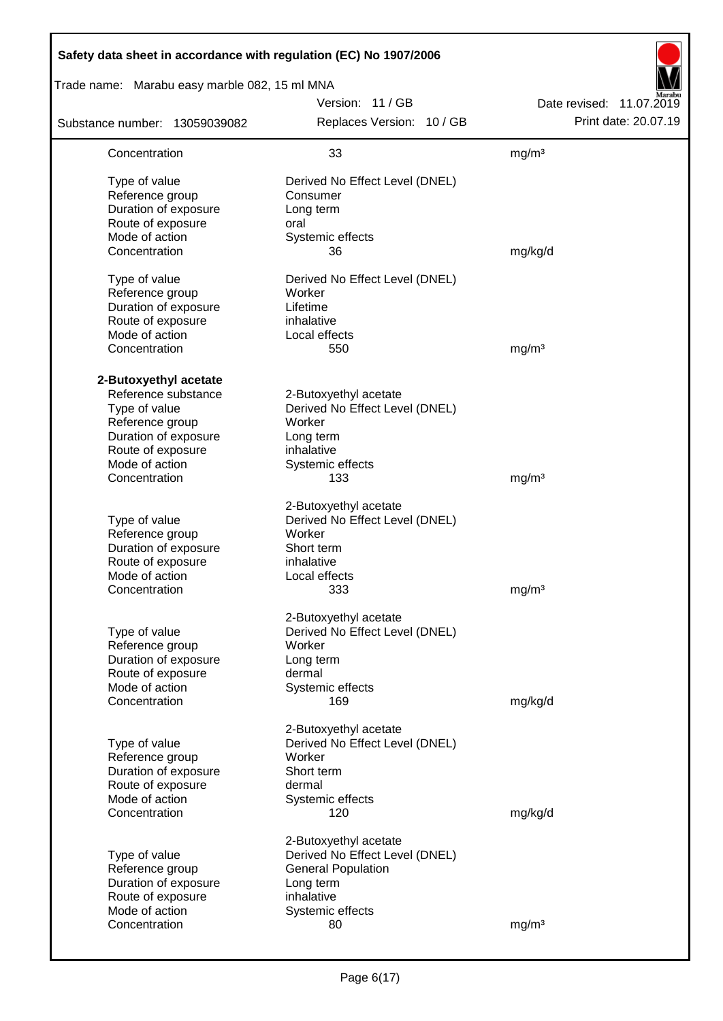| Safety data sheet in accordance with regulation (EC) No 1907/2006 |                                                         |                          |
|-------------------------------------------------------------------|---------------------------------------------------------|--------------------------|
| Trade name: Marabu easy marble 082, 15 ml MNA                     |                                                         |                          |
|                                                                   | Version: 11/GB                                          | Date revised: 11.07.2019 |
| Substance number: 13059039082                                     | Replaces Version: 10 / GB                               | Print date: 20.07.19     |
| Concentration                                                     | 33                                                      | mg/m <sup>3</sup>        |
| Type of value                                                     | Derived No Effect Level (DNEL)                          |                          |
| Reference group                                                   | Consumer                                                |                          |
| Duration of exposure                                              | Long term                                               |                          |
| Route of exposure                                                 | oral                                                    |                          |
| Mode of action                                                    | Systemic effects                                        |                          |
| Concentration                                                     | 36                                                      | mg/kg/d                  |
| Type of value                                                     | Derived No Effect Level (DNEL)                          |                          |
| Reference group                                                   | Worker                                                  |                          |
| Duration of exposure                                              | Lifetime                                                |                          |
| Route of exposure                                                 | inhalative                                              |                          |
| Mode of action                                                    | Local effects                                           |                          |
| Concentration                                                     | 550                                                     | mg/m <sup>3</sup>        |
|                                                                   |                                                         |                          |
| 2-Butoxyethyl acetate                                             |                                                         |                          |
| Reference substance                                               | 2-Butoxyethyl acetate                                   |                          |
| Type of value                                                     | Derived No Effect Level (DNEL)                          |                          |
| Reference group                                                   | Worker                                                  |                          |
| Duration of exposure                                              | Long term                                               |                          |
| Route of exposure                                                 | inhalative                                              |                          |
| Mode of action                                                    | Systemic effects                                        |                          |
| Concentration                                                     | 133                                                     | mg/m <sup>3</sup>        |
|                                                                   | 2-Butoxyethyl acetate                                   |                          |
| Type of value                                                     | Derived No Effect Level (DNEL)                          |                          |
| Reference group                                                   | Worker                                                  |                          |
| Duration of exposure                                              | Short term                                              |                          |
| Route of exposure                                                 | inhalative                                              |                          |
| Mode of action                                                    | Local effects                                           |                          |
| Concentration                                                     | 333                                                     | mg/m <sup>3</sup>        |
|                                                                   |                                                         |                          |
| Type of value                                                     | 2-Butoxyethyl acetate<br>Derived No Effect Level (DNEL) |                          |
| Reference group                                                   | Worker                                                  |                          |
| Duration of exposure                                              | Long term                                               |                          |
| Route of exposure                                                 | dermal                                                  |                          |
| Mode of action                                                    | Systemic effects                                        |                          |
| Concentration                                                     | 169                                                     | mg/kg/d                  |
|                                                                   |                                                         |                          |
|                                                                   | 2-Butoxyethyl acetate                                   |                          |
| Type of value                                                     | Derived No Effect Level (DNEL)                          |                          |
| Reference group                                                   | Worker                                                  |                          |
| Duration of exposure                                              | Short term                                              |                          |
| Route of exposure                                                 | dermal                                                  |                          |
| Mode of action                                                    | Systemic effects                                        |                          |
| Concentration                                                     | 120                                                     | mg/kg/d                  |
|                                                                   | 2-Butoxyethyl acetate                                   |                          |
| Type of value                                                     | Derived No Effect Level (DNEL)                          |                          |
| Reference group                                                   | <b>General Population</b>                               |                          |
| Duration of exposure                                              | Long term                                               |                          |
| Route of exposure                                                 | inhalative                                              |                          |
| Mode of action                                                    | Systemic effects                                        |                          |
| Concentration                                                     | 80                                                      | mg/m <sup>3</sup>        |
|                                                                   |                                                         |                          |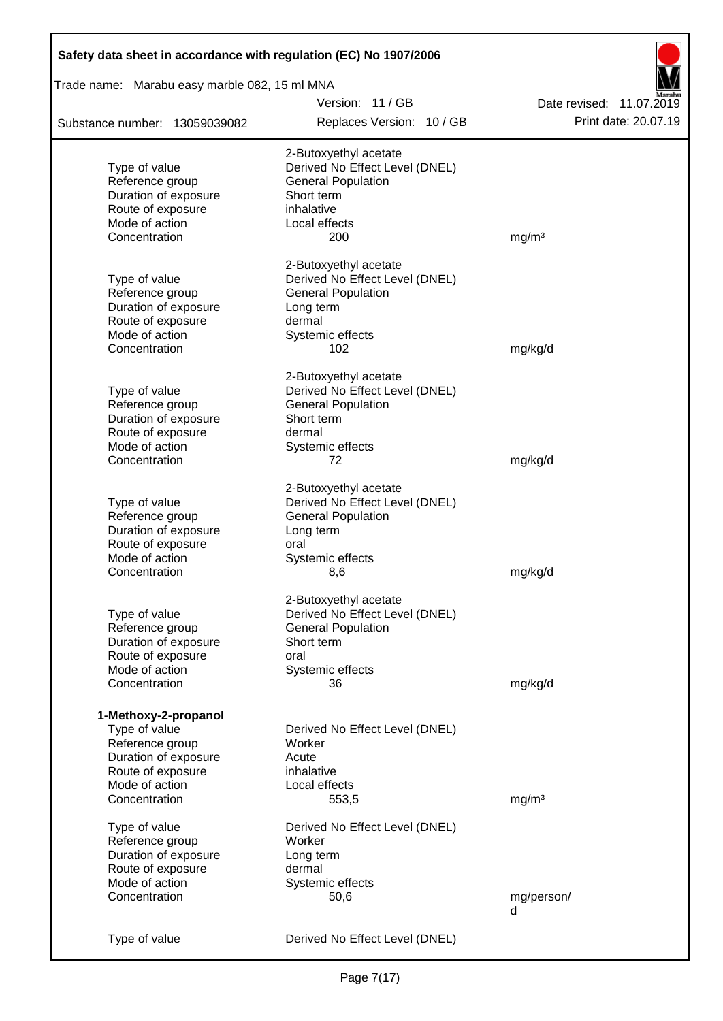| Safety data sheet in accordance with regulation (EC) No 1907/2006                                                                        |                                                                                                                                        |                          |
|------------------------------------------------------------------------------------------------------------------------------------------|----------------------------------------------------------------------------------------------------------------------------------------|--------------------------|
| Trade name: Marabu easy marble 082, 15 ml MNA                                                                                            |                                                                                                                                        |                          |
|                                                                                                                                          | Version: 11 / GB                                                                                                                       | Date revised: 11.07.2019 |
| Substance number: 13059039082                                                                                                            | Replaces Version: 10 / GB                                                                                                              | Print date: 20.07.19     |
| Type of value<br>Reference group<br>Duration of exposure<br>Route of exposure<br>Mode of action                                          | 2-Butoxyethyl acetate<br>Derived No Effect Level (DNEL)<br><b>General Population</b><br>Short term<br>inhalative<br>Local effects      |                          |
| Concentration                                                                                                                            | 200                                                                                                                                    | mg/m <sup>3</sup>        |
| Type of value<br>Reference group<br>Duration of exposure<br>Route of exposure<br>Mode of action                                          | 2-Butoxyethyl acetate<br>Derived No Effect Level (DNEL)<br><b>General Population</b><br>Long term<br>dermal<br>Systemic effects        |                          |
| Concentration                                                                                                                            | 102                                                                                                                                    | mg/kg/d                  |
| Type of value<br>Reference group<br>Duration of exposure<br>Route of exposure<br>Mode of action<br>Concentration                         | 2-Butoxyethyl acetate<br>Derived No Effect Level (DNEL)<br><b>General Population</b><br>Short term<br>dermal<br>Systemic effects<br>72 | mg/kg/d                  |
| Type of value<br>Reference group<br>Duration of exposure<br>Route of exposure<br>Mode of action<br>Concentration                         | 2-Butoxyethyl acetate<br>Derived No Effect Level (DNEL)<br><b>General Population</b><br>Long term<br>oral<br>Systemic effects<br>8,6   | mg/kg/d                  |
| Type of value<br>Reference group<br>Duration of exposure<br>Route of exposure<br>Mode of action<br>Concentration                         | 2-Butoxyethyl acetate<br>Derived No Effect Level (DNEL)<br><b>General Population</b><br>Short term<br>oral<br>Systemic effects<br>36   | mg/kg/d                  |
| 1-Methoxy-2-propanol<br>Type of value<br>Reference group<br>Duration of exposure<br>Route of exposure<br>Mode of action<br>Concentration | Derived No Effect Level (DNEL)<br>Worker<br>Acute<br>inhalative<br>Local effects<br>553,5                                              | mg/m <sup>3</sup>        |
| Type of value<br>Reference group<br>Duration of exposure<br>Route of exposure<br>Mode of action<br>Concentration                         | Derived No Effect Level (DNEL)<br>Worker<br>Long term<br>dermal<br>Systemic effects<br>50,6                                            | mg/person/<br>d          |
| Type of value                                                                                                                            | Derived No Effect Level (DNEL)                                                                                                         |                          |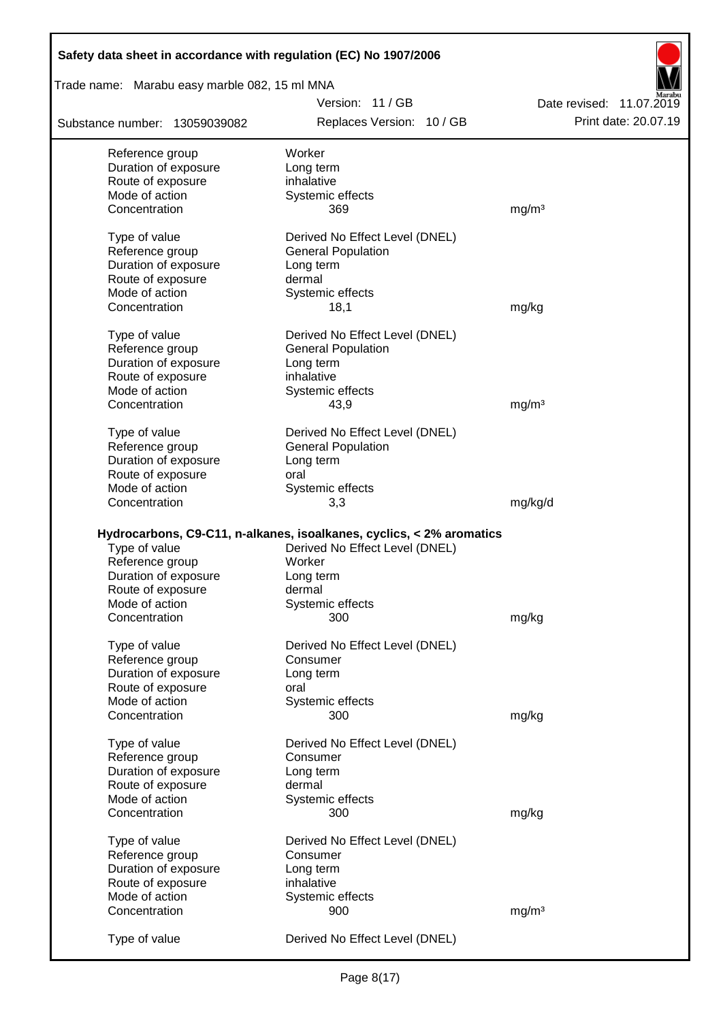| Safety data sheet in accordance with regulation (EC) No 1907/2006 |                                                                      |                          |
|-------------------------------------------------------------------|----------------------------------------------------------------------|--------------------------|
| Trade name: Marabu easy marble 082, 15 ml MNA                     |                                                                      |                          |
|                                                                   | Version: 11/GB                                                       | Date revised: 11.07.2019 |
| Substance number: 13059039082                                     | Replaces Version: 10 / GB                                            | Print date: 20.07.19     |
| Reference group                                                   | Worker                                                               |                          |
| Duration of exposure                                              | Long term                                                            |                          |
| Route of exposure                                                 | inhalative                                                           |                          |
| Mode of action                                                    | Systemic effects                                                     |                          |
| Concentration                                                     | 369                                                                  | mg/m <sup>3</sup>        |
| Type of value                                                     | Derived No Effect Level (DNEL)                                       |                          |
| Reference group                                                   | <b>General Population</b>                                            |                          |
| Duration of exposure                                              | Long term                                                            |                          |
| Route of exposure                                                 | dermal                                                               |                          |
| Mode of action                                                    | Systemic effects                                                     |                          |
| Concentration                                                     | 18,1                                                                 | mg/kg                    |
| Type of value                                                     | Derived No Effect Level (DNEL)                                       |                          |
| Reference group                                                   | <b>General Population</b>                                            |                          |
| Duration of exposure                                              | Long term                                                            |                          |
| Route of exposure                                                 | inhalative                                                           |                          |
| Mode of action                                                    | Systemic effects                                                     |                          |
| Concentration                                                     | 43,9                                                                 | mg/m <sup>3</sup>        |
| Type of value                                                     | Derived No Effect Level (DNEL)                                       |                          |
| Reference group                                                   | <b>General Population</b>                                            |                          |
| Duration of exposure                                              | Long term                                                            |                          |
| Route of exposure                                                 | oral                                                                 |                          |
| Mode of action                                                    | Systemic effects                                                     |                          |
| Concentration                                                     | 3,3                                                                  | mg/kg/d                  |
|                                                                   |                                                                      |                          |
|                                                                   | Hydrocarbons, C9-C11, n-alkanes, isoalkanes, cyclics, < 2% aromatics |                          |
| Type of value                                                     | Derived No Effect Level (DNEL)                                       |                          |
| Reference group                                                   | Worker                                                               |                          |
| Duration of exposure                                              | Long term                                                            |                          |
| Route of exposure                                                 | dermal                                                               |                          |
| Mode of action                                                    | Systemic effects                                                     |                          |
| Concentration                                                     | 300                                                                  | mg/kg                    |
| Type of value                                                     | Derived No Effect Level (DNEL)                                       |                          |
| Reference group                                                   | Consumer                                                             |                          |
| Duration of exposure                                              | Long term                                                            |                          |
| Route of exposure                                                 | oral                                                                 |                          |
| Mode of action                                                    | Systemic effects                                                     |                          |
| Concentration                                                     | 300                                                                  | mg/kg                    |
| Type of value                                                     | Derived No Effect Level (DNEL)                                       |                          |
| Reference group                                                   | Consumer                                                             |                          |
| Duration of exposure                                              | Long term                                                            |                          |
| Route of exposure                                                 | dermal                                                               |                          |
| Mode of action                                                    | Systemic effects                                                     |                          |
| Concentration                                                     | 300                                                                  | mg/kg                    |
| Type of value                                                     | Derived No Effect Level (DNEL)                                       |                          |
| Reference group                                                   | Consumer                                                             |                          |
| Duration of exposure                                              | Long term                                                            |                          |
| Route of exposure                                                 | inhalative                                                           |                          |
| Mode of action                                                    | Systemic effects                                                     |                          |
| Concentration                                                     | 900                                                                  | mg/m <sup>3</sup>        |
| Type of value                                                     | Derived No Effect Level (DNEL)                                       |                          |

Г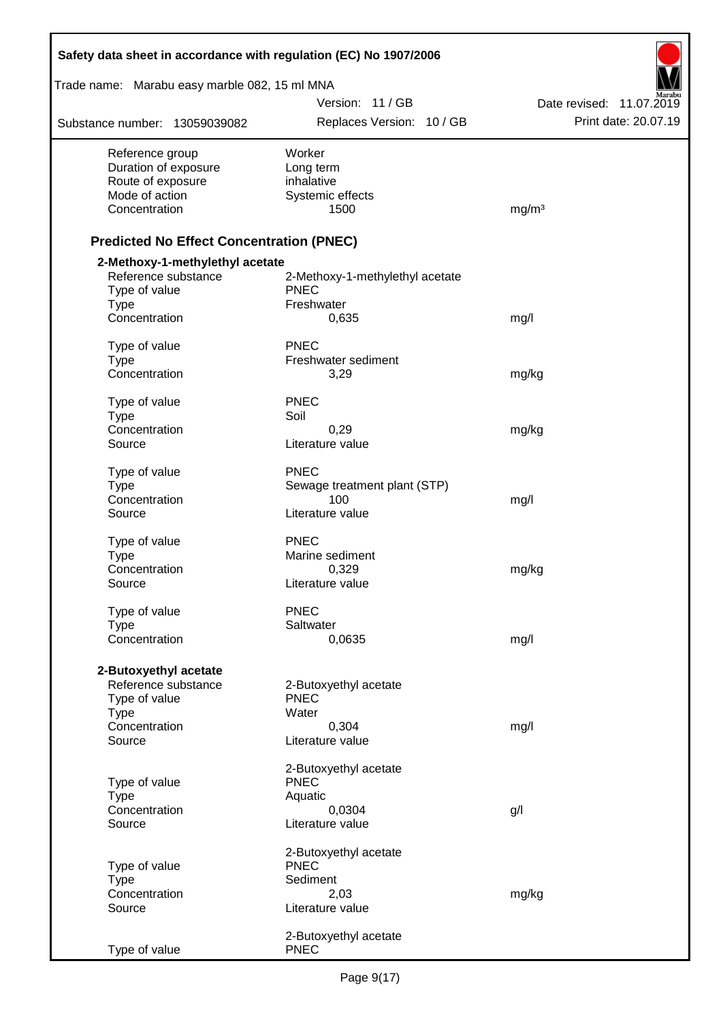| Safety data sheet in accordance with regulation (EC) No 1907/2006 |                                 |                          |
|-------------------------------------------------------------------|---------------------------------|--------------------------|
| Trade name: Marabu easy marble 082, 15 ml MNA                     |                                 |                          |
|                                                                   | Version: 11 / GB                | Date revised: 11.07.2019 |
| Substance number: 13059039082                                     | Replaces Version: 10 / GB       | Print date: 20.07.19     |
| Reference group                                                   | Worker                          |                          |
| Duration of exposure                                              | Long term                       |                          |
| Route of exposure<br>Mode of action                               | inhalative<br>Systemic effects  |                          |
| Concentration                                                     | 1500                            | mg/m <sup>3</sup>        |
| <b>Predicted No Effect Concentration (PNEC)</b>                   |                                 |                          |
| 2-Methoxy-1-methylethyl acetate                                   |                                 |                          |
| Reference substance                                               | 2-Methoxy-1-methylethyl acetate |                          |
| Type of value                                                     | <b>PNEC</b>                     |                          |
| <b>Type</b><br>Concentration                                      | Freshwater<br>0,635             | mg/l                     |
|                                                                   |                                 |                          |
| Type of value                                                     | <b>PNEC</b>                     |                          |
| <b>Type</b><br>Concentration                                      | Freshwater sediment<br>3,29     | mg/kg                    |
|                                                                   |                                 |                          |
| Type of value                                                     | <b>PNEC</b>                     |                          |
| <b>Type</b><br>Concentration                                      | Soil<br>0,29                    | mg/kg                    |
| Source                                                            | Literature value                |                          |
| Type of value                                                     | <b>PNEC</b>                     |                          |
| <b>Type</b>                                                       | Sewage treatment plant (STP)    |                          |
| Concentration                                                     | 100                             | mg/l                     |
| Source                                                            | Literature value                |                          |
| Type of value                                                     | <b>PNEC</b>                     |                          |
| <b>Type</b>                                                       | Marine sediment                 |                          |
| Concentration                                                     | 0,329                           | mg/kg                    |
| Source                                                            | Literature value                |                          |
| Type of value                                                     | <b>PNEC</b>                     |                          |
| <b>Type</b>                                                       | Saltwater                       |                          |
| Concentration                                                     | 0,0635                          | mg/l                     |
| 2-Butoxyethyl acetate                                             |                                 |                          |
| Reference substance                                               | 2-Butoxyethyl acetate           |                          |
| Type of value<br><b>Type</b>                                      | <b>PNEC</b><br>Water            |                          |
| Concentration                                                     | 0,304                           | mg/l                     |
| Source                                                            | Literature value                |                          |
|                                                                   | 2-Butoxyethyl acetate           |                          |
| Type of value                                                     | <b>PNEC</b>                     |                          |
| <b>Type</b>                                                       | Aquatic                         |                          |
| Concentration<br>Source                                           | 0,0304<br>Literature value      | g/l                      |
|                                                                   |                                 |                          |
|                                                                   | 2-Butoxyethyl acetate           |                          |
| Type of value<br><b>Type</b>                                      | <b>PNEC</b><br>Sediment         |                          |
| Concentration                                                     | 2,03                            | mg/kg                    |
| Source                                                            | Literature value                |                          |
|                                                                   | 2-Butoxyethyl acetate           |                          |
| Type of value                                                     | <b>PNEC</b>                     |                          |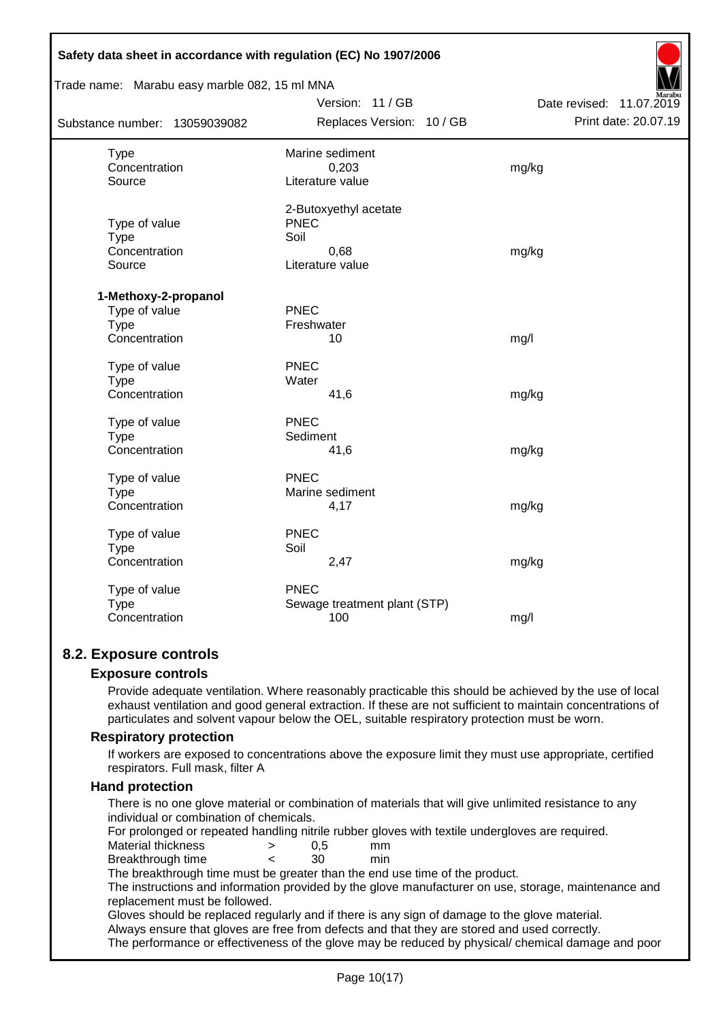| Safety data sheet in accordance with regulation (EC) No 1907/2006 |                              |                          |
|-------------------------------------------------------------------|------------------------------|--------------------------|
| Trade name: Marabu easy marble 082, 15 ml MNA                     |                              |                          |
|                                                                   | Version: 11 / GB             | Date revised: 11.07.2019 |
| Substance number: 13059039082                                     | Replaces Version: 10 / GB    | Print date: 20.07.19     |
| <b>Type</b>                                                       | Marine sediment              |                          |
| Concentration                                                     | 0,203                        | mg/kg                    |
| Source                                                            | Literature value             |                          |
|                                                                   | 2-Butoxyethyl acetate        |                          |
| Type of value                                                     | <b>PNEC</b>                  |                          |
| <b>Type</b>                                                       | Soil                         |                          |
| Concentration                                                     | 0,68                         | mg/kg                    |
| Source                                                            | Literature value             |                          |
| 1-Methoxy-2-propanol                                              |                              |                          |
| Type of value                                                     | <b>PNEC</b>                  |                          |
| <b>Type</b>                                                       | Freshwater                   |                          |
| Concentration                                                     | 10                           | mg/l                     |
| Type of value                                                     | <b>PNEC</b>                  |                          |
| <b>Type</b>                                                       | Water                        |                          |
| Concentration                                                     | 41,6                         | mg/kg                    |
| Type of value                                                     | PNEC                         |                          |
| <b>Type</b>                                                       | Sediment                     |                          |
| Concentration                                                     | 41,6                         | mg/kg                    |
| Type of value                                                     | PNEC                         |                          |
| <b>Type</b>                                                       | Marine sediment              |                          |
| Concentration                                                     | 4,17                         | mg/kg                    |
| Type of value                                                     | <b>PNEC</b>                  |                          |
| <b>Type</b>                                                       | Soil                         |                          |
| Concentration                                                     | 2,47                         | mg/kg                    |
| Type of value                                                     | <b>PNEC</b>                  |                          |
| Type                                                              | Sewage treatment plant (STP) |                          |
| Concentration                                                     | 100                          | mg/l                     |
|                                                                   |                              |                          |

## **8.2. Exposure controls**

## **Exposure controls**

Provide adequate ventilation. Where reasonably practicable this should be achieved by the use of local exhaust ventilation and good general extraction. If these are not sufficient to maintain concentrations of particulates and solvent vapour below the OEL, suitable respiratory protection must be worn.

## **Respiratory protection**

If workers are exposed to concentrations above the exposure limit they must use appropriate, certified respirators. Full mask, filter A

#### **Hand protection**

There is no one glove material or combination of materials that will give unlimited resistance to any individual or combination of chemicals.

For prolonged or repeated handling nitrile rubber gloves with textile undergloves are required.

Material thickness  $\rightarrow$  0,5 mm

Breakthrough time < 30 min

The breakthrough time must be greater than the end use time of the product.

The instructions and information provided by the glove manufacturer on use, storage, maintenance and replacement must be followed.

Gloves should be replaced regularly and if there is any sign of damage to the glove material.

Always ensure that gloves are free from defects and that they are stored and used correctly.

The performance or effectiveness of the glove may be reduced by physical/ chemical damage and poor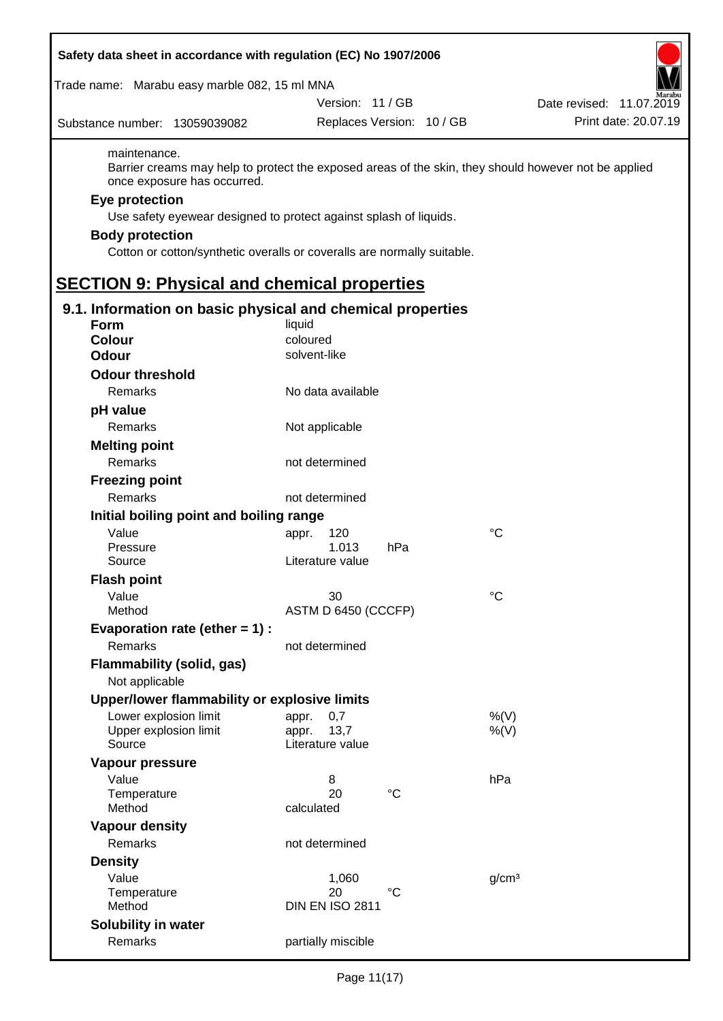| Trade name: Marabu easy marble 082, 15 ml MNA<br>Version: 11 / GB<br>Replaces Version: 10 / GB<br>Substance number: 13059039082<br>maintenance.<br>Barrier creams may help to protect the exposed areas of the skin, they should however not be applied<br>once exposure has occurred.<br>Eye protection<br>Use safety eyewear designed to protect against splash of liquids.<br><b>Body protection</b><br>Cotton or cotton/synthetic overalls or coveralls are normally suitable.<br><b>SECTION 9: Physical and chemical properties</b><br>9.1. Information on basic physical and chemical properties<br><b>Form</b><br>liquid<br><b>Colour</b><br>coloured<br>solvent-like<br><b>Odour</b><br><b>Odour threshold</b><br>Remarks<br>No data available<br>pH value<br>Remarks<br>Not applicable<br><b>Melting point</b><br>Remarks<br>not determined<br><b>Freezing point</b><br>Remarks<br>not determined<br>Initial boiling point and boiling range<br>Value<br>°C<br>120<br>appr.<br>1.013<br>Pressure<br>hPa<br>Literature value<br>Source<br><b>Flash point</b><br>$^{\circ}C$<br>Value<br>30<br>ASTM D 6450 (CCCFP)<br>Method<br>Evaporation rate (ether $= 1$ ) :<br><b>Remarks</b><br>not determined<br><b>Flammability (solid, gas)</b><br>Not applicable<br>Upper/lower flammability or explosive limits<br>Lower explosion limit<br>0,7<br>$%$ (V)<br>appr.<br>Upper explosion limit<br>13,7<br>$%$ (V)<br>appr.<br>Literature value<br>Source<br><b>Vapour pressure</b><br>Value<br>hPa<br>8<br>$^{\circ}C$<br>20<br>Temperature<br>Method<br>calculated<br><b>Vapour density</b><br>Remarks<br>not determined<br><b>Density</b><br>Value<br>g/cm <sup>3</sup><br>1,060<br>°C<br>20<br>Temperature<br><b>DIN EN ISO 2811</b><br>Method<br>Solubility in water<br>Remarks<br>partially miscible | Safety data sheet in accordance with regulation (EC) No 1907/2006 |                          |
|------------------------------------------------------------------------------------------------------------------------------------------------------------------------------------------------------------------------------------------------------------------------------------------------------------------------------------------------------------------------------------------------------------------------------------------------------------------------------------------------------------------------------------------------------------------------------------------------------------------------------------------------------------------------------------------------------------------------------------------------------------------------------------------------------------------------------------------------------------------------------------------------------------------------------------------------------------------------------------------------------------------------------------------------------------------------------------------------------------------------------------------------------------------------------------------------------------------------------------------------------------------------------------------------------------------------------------------------------------------------------------------------------------------------------------------------------------------------------------------------------------------------------------------------------------------------------------------------------------------------------------------------------------------------------------------------------------------------------------------------------------------------------------------------------------|-------------------------------------------------------------------|--------------------------|
|                                                                                                                                                                                                                                                                                                                                                                                                                                                                                                                                                                                                                                                                                                                                                                                                                                                                                                                                                                                                                                                                                                                                                                                                                                                                                                                                                                                                                                                                                                                                                                                                                                                                                                                                                                                                            |                                                                   |                          |
|                                                                                                                                                                                                                                                                                                                                                                                                                                                                                                                                                                                                                                                                                                                                                                                                                                                                                                                                                                                                                                                                                                                                                                                                                                                                                                                                                                                                                                                                                                                                                                                                                                                                                                                                                                                                            |                                                                   | Date revised: 11.07.2019 |
|                                                                                                                                                                                                                                                                                                                                                                                                                                                                                                                                                                                                                                                                                                                                                                                                                                                                                                                                                                                                                                                                                                                                                                                                                                                                                                                                                                                                                                                                                                                                                                                                                                                                                                                                                                                                            |                                                                   | Print date: 20.07.19     |
|                                                                                                                                                                                                                                                                                                                                                                                                                                                                                                                                                                                                                                                                                                                                                                                                                                                                                                                                                                                                                                                                                                                                                                                                                                                                                                                                                                                                                                                                                                                                                                                                                                                                                                                                                                                                            |                                                                   |                          |
|                                                                                                                                                                                                                                                                                                                                                                                                                                                                                                                                                                                                                                                                                                                                                                                                                                                                                                                                                                                                                                                                                                                                                                                                                                                                                                                                                                                                                                                                                                                                                                                                                                                                                                                                                                                                            |                                                                   |                          |
|                                                                                                                                                                                                                                                                                                                                                                                                                                                                                                                                                                                                                                                                                                                                                                                                                                                                                                                                                                                                                                                                                                                                                                                                                                                                                                                                                                                                                                                                                                                                                                                                                                                                                                                                                                                                            |                                                                   |                          |
|                                                                                                                                                                                                                                                                                                                                                                                                                                                                                                                                                                                                                                                                                                                                                                                                                                                                                                                                                                                                                                                                                                                                                                                                                                                                                                                                                                                                                                                                                                                                                                                                                                                                                                                                                                                                            |                                                                   |                          |
|                                                                                                                                                                                                                                                                                                                                                                                                                                                                                                                                                                                                                                                                                                                                                                                                                                                                                                                                                                                                                                                                                                                                                                                                                                                                                                                                                                                                                                                                                                                                                                                                                                                                                                                                                                                                            |                                                                   |                          |
|                                                                                                                                                                                                                                                                                                                                                                                                                                                                                                                                                                                                                                                                                                                                                                                                                                                                                                                                                                                                                                                                                                                                                                                                                                                                                                                                                                                                                                                                                                                                                                                                                                                                                                                                                                                                            |                                                                   |                          |
|                                                                                                                                                                                                                                                                                                                                                                                                                                                                                                                                                                                                                                                                                                                                                                                                                                                                                                                                                                                                                                                                                                                                                                                                                                                                                                                                                                                                                                                                                                                                                                                                                                                                                                                                                                                                            |                                                                   |                          |
|                                                                                                                                                                                                                                                                                                                                                                                                                                                                                                                                                                                                                                                                                                                                                                                                                                                                                                                                                                                                                                                                                                                                                                                                                                                                                                                                                                                                                                                                                                                                                                                                                                                                                                                                                                                                            |                                                                   |                          |
|                                                                                                                                                                                                                                                                                                                                                                                                                                                                                                                                                                                                                                                                                                                                                                                                                                                                                                                                                                                                                                                                                                                                                                                                                                                                                                                                                                                                                                                                                                                                                                                                                                                                                                                                                                                                            |                                                                   |                          |
|                                                                                                                                                                                                                                                                                                                                                                                                                                                                                                                                                                                                                                                                                                                                                                                                                                                                                                                                                                                                                                                                                                                                                                                                                                                                                                                                                                                                                                                                                                                                                                                                                                                                                                                                                                                                            |                                                                   |                          |
|                                                                                                                                                                                                                                                                                                                                                                                                                                                                                                                                                                                                                                                                                                                                                                                                                                                                                                                                                                                                                                                                                                                                                                                                                                                                                                                                                                                                                                                                                                                                                                                                                                                                                                                                                                                                            |                                                                   |                          |
|                                                                                                                                                                                                                                                                                                                                                                                                                                                                                                                                                                                                                                                                                                                                                                                                                                                                                                                                                                                                                                                                                                                                                                                                                                                                                                                                                                                                                                                                                                                                                                                                                                                                                                                                                                                                            |                                                                   |                          |
|                                                                                                                                                                                                                                                                                                                                                                                                                                                                                                                                                                                                                                                                                                                                                                                                                                                                                                                                                                                                                                                                                                                                                                                                                                                                                                                                                                                                                                                                                                                                                                                                                                                                                                                                                                                                            |                                                                   |                          |
|                                                                                                                                                                                                                                                                                                                                                                                                                                                                                                                                                                                                                                                                                                                                                                                                                                                                                                                                                                                                                                                                                                                                                                                                                                                                                                                                                                                                                                                                                                                                                                                                                                                                                                                                                                                                            |                                                                   |                          |
|                                                                                                                                                                                                                                                                                                                                                                                                                                                                                                                                                                                                                                                                                                                                                                                                                                                                                                                                                                                                                                                                                                                                                                                                                                                                                                                                                                                                                                                                                                                                                                                                                                                                                                                                                                                                            |                                                                   |                          |
|                                                                                                                                                                                                                                                                                                                                                                                                                                                                                                                                                                                                                                                                                                                                                                                                                                                                                                                                                                                                                                                                                                                                                                                                                                                                                                                                                                                                                                                                                                                                                                                                                                                                                                                                                                                                            |                                                                   |                          |
|                                                                                                                                                                                                                                                                                                                                                                                                                                                                                                                                                                                                                                                                                                                                                                                                                                                                                                                                                                                                                                                                                                                                                                                                                                                                                                                                                                                                                                                                                                                                                                                                                                                                                                                                                                                                            |                                                                   |                          |
|                                                                                                                                                                                                                                                                                                                                                                                                                                                                                                                                                                                                                                                                                                                                                                                                                                                                                                                                                                                                                                                                                                                                                                                                                                                                                                                                                                                                                                                                                                                                                                                                                                                                                                                                                                                                            |                                                                   |                          |
|                                                                                                                                                                                                                                                                                                                                                                                                                                                                                                                                                                                                                                                                                                                                                                                                                                                                                                                                                                                                                                                                                                                                                                                                                                                                                                                                                                                                                                                                                                                                                                                                                                                                                                                                                                                                            |                                                                   |                          |
|                                                                                                                                                                                                                                                                                                                                                                                                                                                                                                                                                                                                                                                                                                                                                                                                                                                                                                                                                                                                                                                                                                                                                                                                                                                                                                                                                                                                                                                                                                                                                                                                                                                                                                                                                                                                            |                                                                   |                          |
|                                                                                                                                                                                                                                                                                                                                                                                                                                                                                                                                                                                                                                                                                                                                                                                                                                                                                                                                                                                                                                                                                                                                                                                                                                                                                                                                                                                                                                                                                                                                                                                                                                                                                                                                                                                                            |                                                                   |                          |
|                                                                                                                                                                                                                                                                                                                                                                                                                                                                                                                                                                                                                                                                                                                                                                                                                                                                                                                                                                                                                                                                                                                                                                                                                                                                                                                                                                                                                                                                                                                                                                                                                                                                                                                                                                                                            |                                                                   |                          |
|                                                                                                                                                                                                                                                                                                                                                                                                                                                                                                                                                                                                                                                                                                                                                                                                                                                                                                                                                                                                                                                                                                                                                                                                                                                                                                                                                                                                                                                                                                                                                                                                                                                                                                                                                                                                            |                                                                   |                          |
|                                                                                                                                                                                                                                                                                                                                                                                                                                                                                                                                                                                                                                                                                                                                                                                                                                                                                                                                                                                                                                                                                                                                                                                                                                                                                                                                                                                                                                                                                                                                                                                                                                                                                                                                                                                                            |                                                                   |                          |
|                                                                                                                                                                                                                                                                                                                                                                                                                                                                                                                                                                                                                                                                                                                                                                                                                                                                                                                                                                                                                                                                                                                                                                                                                                                                                                                                                                                                                                                                                                                                                                                                                                                                                                                                                                                                            |                                                                   |                          |
|                                                                                                                                                                                                                                                                                                                                                                                                                                                                                                                                                                                                                                                                                                                                                                                                                                                                                                                                                                                                                                                                                                                                                                                                                                                                                                                                                                                                                                                                                                                                                                                                                                                                                                                                                                                                            |                                                                   |                          |
|                                                                                                                                                                                                                                                                                                                                                                                                                                                                                                                                                                                                                                                                                                                                                                                                                                                                                                                                                                                                                                                                                                                                                                                                                                                                                                                                                                                                                                                                                                                                                                                                                                                                                                                                                                                                            |                                                                   |                          |
|                                                                                                                                                                                                                                                                                                                                                                                                                                                                                                                                                                                                                                                                                                                                                                                                                                                                                                                                                                                                                                                                                                                                                                                                                                                                                                                                                                                                                                                                                                                                                                                                                                                                                                                                                                                                            |                                                                   |                          |
|                                                                                                                                                                                                                                                                                                                                                                                                                                                                                                                                                                                                                                                                                                                                                                                                                                                                                                                                                                                                                                                                                                                                                                                                                                                                                                                                                                                                                                                                                                                                                                                                                                                                                                                                                                                                            |                                                                   |                          |
|                                                                                                                                                                                                                                                                                                                                                                                                                                                                                                                                                                                                                                                                                                                                                                                                                                                                                                                                                                                                                                                                                                                                                                                                                                                                                                                                                                                                                                                                                                                                                                                                                                                                                                                                                                                                            |                                                                   |                          |
|                                                                                                                                                                                                                                                                                                                                                                                                                                                                                                                                                                                                                                                                                                                                                                                                                                                                                                                                                                                                                                                                                                                                                                                                                                                                                                                                                                                                                                                                                                                                                                                                                                                                                                                                                                                                            |                                                                   |                          |
|                                                                                                                                                                                                                                                                                                                                                                                                                                                                                                                                                                                                                                                                                                                                                                                                                                                                                                                                                                                                                                                                                                                                                                                                                                                                                                                                                                                                                                                                                                                                                                                                                                                                                                                                                                                                            |                                                                   |                          |
|                                                                                                                                                                                                                                                                                                                                                                                                                                                                                                                                                                                                                                                                                                                                                                                                                                                                                                                                                                                                                                                                                                                                                                                                                                                                                                                                                                                                                                                                                                                                                                                                                                                                                                                                                                                                            |                                                                   |                          |
|                                                                                                                                                                                                                                                                                                                                                                                                                                                                                                                                                                                                                                                                                                                                                                                                                                                                                                                                                                                                                                                                                                                                                                                                                                                                                                                                                                                                                                                                                                                                                                                                                                                                                                                                                                                                            |                                                                   |                          |
|                                                                                                                                                                                                                                                                                                                                                                                                                                                                                                                                                                                                                                                                                                                                                                                                                                                                                                                                                                                                                                                                                                                                                                                                                                                                                                                                                                                                                                                                                                                                                                                                                                                                                                                                                                                                            |                                                                   |                          |
|                                                                                                                                                                                                                                                                                                                                                                                                                                                                                                                                                                                                                                                                                                                                                                                                                                                                                                                                                                                                                                                                                                                                                                                                                                                                                                                                                                                                                                                                                                                                                                                                                                                                                                                                                                                                            |                                                                   |                          |
|                                                                                                                                                                                                                                                                                                                                                                                                                                                                                                                                                                                                                                                                                                                                                                                                                                                                                                                                                                                                                                                                                                                                                                                                                                                                                                                                                                                                                                                                                                                                                                                                                                                                                                                                                                                                            |                                                                   |                          |
|                                                                                                                                                                                                                                                                                                                                                                                                                                                                                                                                                                                                                                                                                                                                                                                                                                                                                                                                                                                                                                                                                                                                                                                                                                                                                                                                                                                                                                                                                                                                                                                                                                                                                                                                                                                                            |                                                                   |                          |
|                                                                                                                                                                                                                                                                                                                                                                                                                                                                                                                                                                                                                                                                                                                                                                                                                                                                                                                                                                                                                                                                                                                                                                                                                                                                                                                                                                                                                                                                                                                                                                                                                                                                                                                                                                                                            |                                                                   |                          |
|                                                                                                                                                                                                                                                                                                                                                                                                                                                                                                                                                                                                                                                                                                                                                                                                                                                                                                                                                                                                                                                                                                                                                                                                                                                                                                                                                                                                                                                                                                                                                                                                                                                                                                                                                                                                            |                                                                   |                          |
|                                                                                                                                                                                                                                                                                                                                                                                                                                                                                                                                                                                                                                                                                                                                                                                                                                                                                                                                                                                                                                                                                                                                                                                                                                                                                                                                                                                                                                                                                                                                                                                                                                                                                                                                                                                                            |                                                                   |                          |
|                                                                                                                                                                                                                                                                                                                                                                                                                                                                                                                                                                                                                                                                                                                                                                                                                                                                                                                                                                                                                                                                                                                                                                                                                                                                                                                                                                                                                                                                                                                                                                                                                                                                                                                                                                                                            |                                                                   |                          |
|                                                                                                                                                                                                                                                                                                                                                                                                                                                                                                                                                                                                                                                                                                                                                                                                                                                                                                                                                                                                                                                                                                                                                                                                                                                                                                                                                                                                                                                                                                                                                                                                                                                                                                                                                                                                            |                                                                   |                          |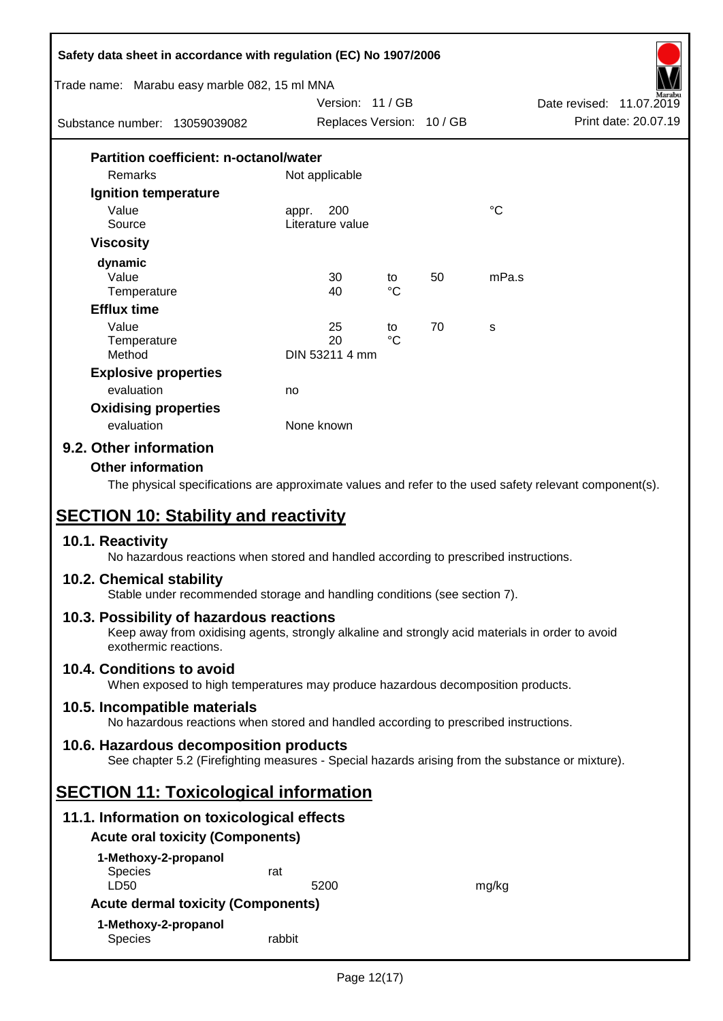| Safety data sheet in accordance with regulation (EC) No 1907/2006                                                                                                                                                                                                                             |                                  |             |    |             |                                                  |
|-----------------------------------------------------------------------------------------------------------------------------------------------------------------------------------------------------------------------------------------------------------------------------------------------|----------------------------------|-------------|----|-------------|--------------------------------------------------|
| Trade name: Marabu easy marble 082, 15 ml MNA                                                                                                                                                                                                                                                 |                                  |             |    |             |                                                  |
|                                                                                                                                                                                                                                                                                               | Version: 11/GB                   |             |    |             | Date revised: 11.07.2019<br>Print date: 20.07.19 |
| Substance number: 13059039082                                                                                                                                                                                                                                                                 | Replaces Version: 10 / GB        |             |    |             |                                                  |
| <b>Partition coefficient: n-octanol/water</b>                                                                                                                                                                                                                                                 |                                  |             |    |             |                                                  |
| Remarks                                                                                                                                                                                                                                                                                       | Not applicable                   |             |    |             |                                                  |
| Ignition temperature                                                                                                                                                                                                                                                                          |                                  |             |    |             |                                                  |
| Value<br>Source                                                                                                                                                                                                                                                                               | 200<br>appr.<br>Literature value |             |    | $^{\circ}C$ |                                                  |
| <b>Viscosity</b>                                                                                                                                                                                                                                                                              |                                  |             |    |             |                                                  |
| dynamic                                                                                                                                                                                                                                                                                       |                                  |             |    |             |                                                  |
| Value                                                                                                                                                                                                                                                                                         | 30                               | to          | 50 | mPa.s       |                                                  |
| Temperature                                                                                                                                                                                                                                                                                   | 40                               | $^{\circ}C$ |    |             |                                                  |
| <b>Efflux time</b>                                                                                                                                                                                                                                                                            |                                  |             |    |             |                                                  |
| Value                                                                                                                                                                                                                                                                                         | 25                               | to          | 70 | s           |                                                  |
| Temperature                                                                                                                                                                                                                                                                                   | 20<br>DIN 53211 4 mm             | $^{\circ}C$ |    |             |                                                  |
| Method                                                                                                                                                                                                                                                                                        |                                  |             |    |             |                                                  |
| <b>Explosive properties</b><br>evaluation                                                                                                                                                                                                                                                     |                                  |             |    |             |                                                  |
|                                                                                                                                                                                                                                                                                               | no                               |             |    |             |                                                  |
| <b>Oxidising properties</b><br>evaluation                                                                                                                                                                                                                                                     | None known                       |             |    |             |                                                  |
| 9.2. Other information                                                                                                                                                                                                                                                                        |                                  |             |    |             |                                                  |
| <b>Other information</b><br>The physical specifications are approximate values and refer to the used safety relevant component(s).<br><b>SECTION 10: Stability and reactivity</b><br>10.1. Reactivity<br>No hazardous reactions when stored and handled according to prescribed instructions. |                                  |             |    |             |                                                  |
| 10.2. Chemical stability<br>Stable under recommended storage and handling conditions (see section 7).                                                                                                                                                                                         |                                  |             |    |             |                                                  |
| 10.3. Possibility of hazardous reactions<br>Keep away from oxidising agents, strongly alkaline and strongly acid materials in order to avoid<br>exothermic reactions.                                                                                                                         |                                  |             |    |             |                                                  |
| 10.4. Conditions to avoid<br>When exposed to high temperatures may produce hazardous decomposition products.                                                                                                                                                                                  |                                  |             |    |             |                                                  |
| 10.5. Incompatible materials<br>No hazardous reactions when stored and handled according to prescribed instructions.                                                                                                                                                                          |                                  |             |    |             |                                                  |
| 10.6. Hazardous decomposition products<br>See chapter 5.2 (Firefighting measures - Special hazards arising from the substance or mixture).                                                                                                                                                    |                                  |             |    |             |                                                  |
| <b>SECTION 11: Toxicological information</b>                                                                                                                                                                                                                                                  |                                  |             |    |             |                                                  |
| 11.1. Information on toxicological effects                                                                                                                                                                                                                                                    |                                  |             |    |             |                                                  |
| <b>Acute oral toxicity (Components)</b>                                                                                                                                                                                                                                                       |                                  |             |    |             |                                                  |
| 1-Methoxy-2-propanol                                                                                                                                                                                                                                                                          |                                  |             |    |             |                                                  |
| <b>Species</b><br>LD50                                                                                                                                                                                                                                                                        | rat<br>5200                      |             |    |             |                                                  |
| <b>Acute dermal toxicity (Components)</b>                                                                                                                                                                                                                                                     |                                  |             |    | mg/kg       |                                                  |
| 1-Methoxy-2-propanol                                                                                                                                                                                                                                                                          |                                  |             |    |             |                                                  |
| Species                                                                                                                                                                                                                                                                                       | rabbit                           |             |    |             |                                                  |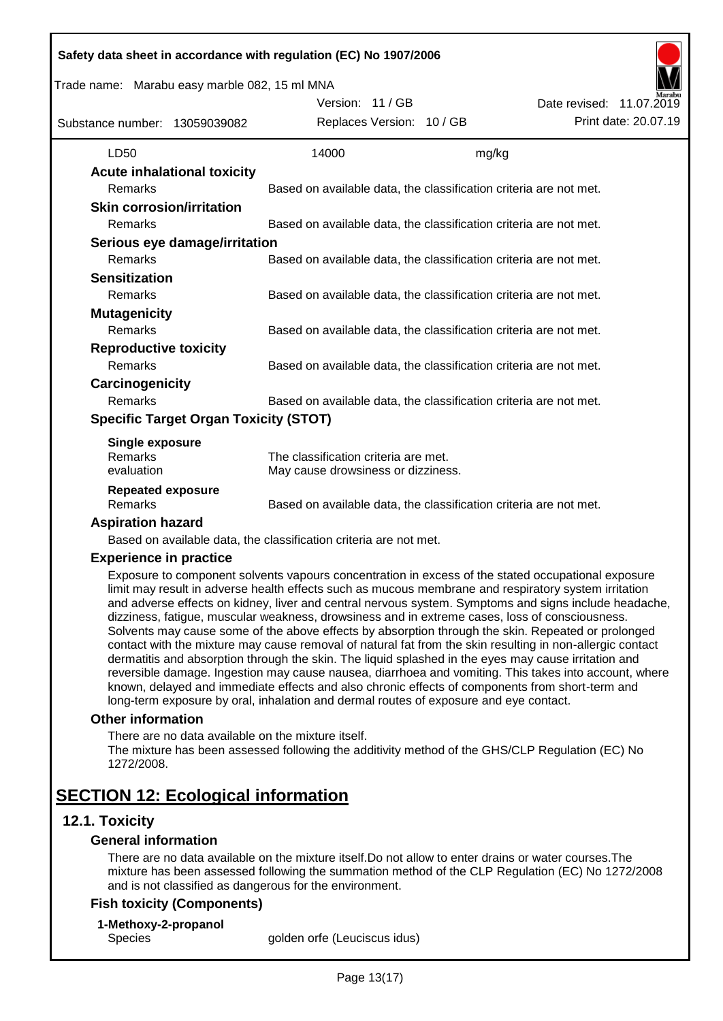| Trade name: Marabu easy marble 082, 15 ml MNA |  |                                                                   |       |                                                                                                                                                                                                                                                                                                                                                                                                                                                                                                                                                                                                                                                                                                                                                                                                                                                           |
|-----------------------------------------------|--|-------------------------------------------------------------------|-------|-----------------------------------------------------------------------------------------------------------------------------------------------------------------------------------------------------------------------------------------------------------------------------------------------------------------------------------------------------------------------------------------------------------------------------------------------------------------------------------------------------------------------------------------------------------------------------------------------------------------------------------------------------------------------------------------------------------------------------------------------------------------------------------------------------------------------------------------------------------|
|                                               |  | Version: 11/GB                                                    |       | Date revised: 11.07.2019                                                                                                                                                                                                                                                                                                                                                                                                                                                                                                                                                                                                                                                                                                                                                                                                                                  |
| Substance number: 13059039082                 |  | Replaces Version: 10 / GB                                         |       | Print date: 20.07.19                                                                                                                                                                                                                                                                                                                                                                                                                                                                                                                                                                                                                                                                                                                                                                                                                                      |
| LD50                                          |  | 14000                                                             | mg/kg |                                                                                                                                                                                                                                                                                                                                                                                                                                                                                                                                                                                                                                                                                                                                                                                                                                                           |
| <b>Acute inhalational toxicity</b>            |  |                                                                   |       |                                                                                                                                                                                                                                                                                                                                                                                                                                                                                                                                                                                                                                                                                                                                                                                                                                                           |
| Remarks                                       |  |                                                                   |       | Based on available data, the classification criteria are not met.                                                                                                                                                                                                                                                                                                                                                                                                                                                                                                                                                                                                                                                                                                                                                                                         |
| <b>Skin corrosion/irritation</b>              |  |                                                                   |       |                                                                                                                                                                                                                                                                                                                                                                                                                                                                                                                                                                                                                                                                                                                                                                                                                                                           |
| Remarks                                       |  |                                                                   |       | Based on available data, the classification criteria are not met.                                                                                                                                                                                                                                                                                                                                                                                                                                                                                                                                                                                                                                                                                                                                                                                         |
| Serious eye damage/irritation                 |  |                                                                   |       |                                                                                                                                                                                                                                                                                                                                                                                                                                                                                                                                                                                                                                                                                                                                                                                                                                                           |
| Remarks                                       |  |                                                                   |       | Based on available data, the classification criteria are not met.                                                                                                                                                                                                                                                                                                                                                                                                                                                                                                                                                                                                                                                                                                                                                                                         |
| <b>Sensitization</b>                          |  |                                                                   |       |                                                                                                                                                                                                                                                                                                                                                                                                                                                                                                                                                                                                                                                                                                                                                                                                                                                           |
| Remarks                                       |  |                                                                   |       | Based on available data, the classification criteria are not met.                                                                                                                                                                                                                                                                                                                                                                                                                                                                                                                                                                                                                                                                                                                                                                                         |
| <b>Mutagenicity</b>                           |  |                                                                   |       |                                                                                                                                                                                                                                                                                                                                                                                                                                                                                                                                                                                                                                                                                                                                                                                                                                                           |
| Remarks                                       |  |                                                                   |       | Based on available data, the classification criteria are not met.                                                                                                                                                                                                                                                                                                                                                                                                                                                                                                                                                                                                                                                                                                                                                                                         |
| <b>Reproductive toxicity</b>                  |  |                                                                   |       |                                                                                                                                                                                                                                                                                                                                                                                                                                                                                                                                                                                                                                                                                                                                                                                                                                                           |
| Remarks                                       |  |                                                                   |       | Based on available data, the classification criteria are not met.                                                                                                                                                                                                                                                                                                                                                                                                                                                                                                                                                                                                                                                                                                                                                                                         |
| Carcinogenicity                               |  |                                                                   |       |                                                                                                                                                                                                                                                                                                                                                                                                                                                                                                                                                                                                                                                                                                                                                                                                                                                           |
| Remarks                                       |  |                                                                   |       | Based on available data, the classification criteria are not met.                                                                                                                                                                                                                                                                                                                                                                                                                                                                                                                                                                                                                                                                                                                                                                                         |
| <b>Specific Target Organ Toxicity (STOT)</b>  |  |                                                                   |       |                                                                                                                                                                                                                                                                                                                                                                                                                                                                                                                                                                                                                                                                                                                                                                                                                                                           |
| Single exposure                               |  |                                                                   |       |                                                                                                                                                                                                                                                                                                                                                                                                                                                                                                                                                                                                                                                                                                                                                                                                                                                           |
| Remarks                                       |  | The classification criteria are met.                              |       |                                                                                                                                                                                                                                                                                                                                                                                                                                                                                                                                                                                                                                                                                                                                                                                                                                                           |
| evaluation                                    |  | May cause drowsiness or dizziness.                                |       |                                                                                                                                                                                                                                                                                                                                                                                                                                                                                                                                                                                                                                                                                                                                                                                                                                                           |
| <b>Repeated exposure</b><br>Remarks           |  |                                                                   |       | Based on available data, the classification criteria are not met.                                                                                                                                                                                                                                                                                                                                                                                                                                                                                                                                                                                                                                                                                                                                                                                         |
| <b>Aspiration hazard</b>                      |  |                                                                   |       |                                                                                                                                                                                                                                                                                                                                                                                                                                                                                                                                                                                                                                                                                                                                                                                                                                                           |
|                                               |  | Based on available data, the classification criteria are not met. |       |                                                                                                                                                                                                                                                                                                                                                                                                                                                                                                                                                                                                                                                                                                                                                                                                                                                           |
| <b>Experience in practice</b>                 |  |                                                                   |       |                                                                                                                                                                                                                                                                                                                                                                                                                                                                                                                                                                                                                                                                                                                                                                                                                                                           |
|                                               |  |                                                                   |       | Exposure to component solvents vapours concentration in excess of the stated occupational exposure<br>limit may result in adverse health effects such as mucous membrane and respiratory system irritation<br>and adverse effects on kidney, liver and central nervous system. Symptoms and signs include headache,<br>dizziness, fatigue, muscular weakness, drowsiness and in extreme cases, loss of consciousness.<br>Solvents may cause some of the above effects by absorption through the skin. Repeated or prolonged<br>contact with the mixture may cause removal of natural fat from the skin resulting in non-allergic contact<br>dermatitis and absorption through the skin. The liquid splashed in the eyes may cause irritation and<br>reversible damage. Ingestion may cause nausea, diarrhoea and vomiting. This takes into account, where |

#### **Other information**

There are no data available on the mixture itself. The mixture has been assessed following the additivity method of the GHS/CLP Regulation (EC) No 1272/2008.

long-term exposure by oral, inhalation and dermal routes of exposure and eye contact.

known, delayed and immediate effects and also chronic effects of components from short-term and

# **SECTION 12: Ecological information**

## **12.1. Toxicity**

## **General information**

There are no data available on the mixture itself.Do not allow to enter drains or water courses.The mixture has been assessed following the summation method of the CLP Regulation (EC) No 1272/2008 and is not classified as dangerous for the environment.

## **Fish toxicity (Components)**

**1-Methoxy-2-propanol**

Species golden orfe (Leuciscus idus)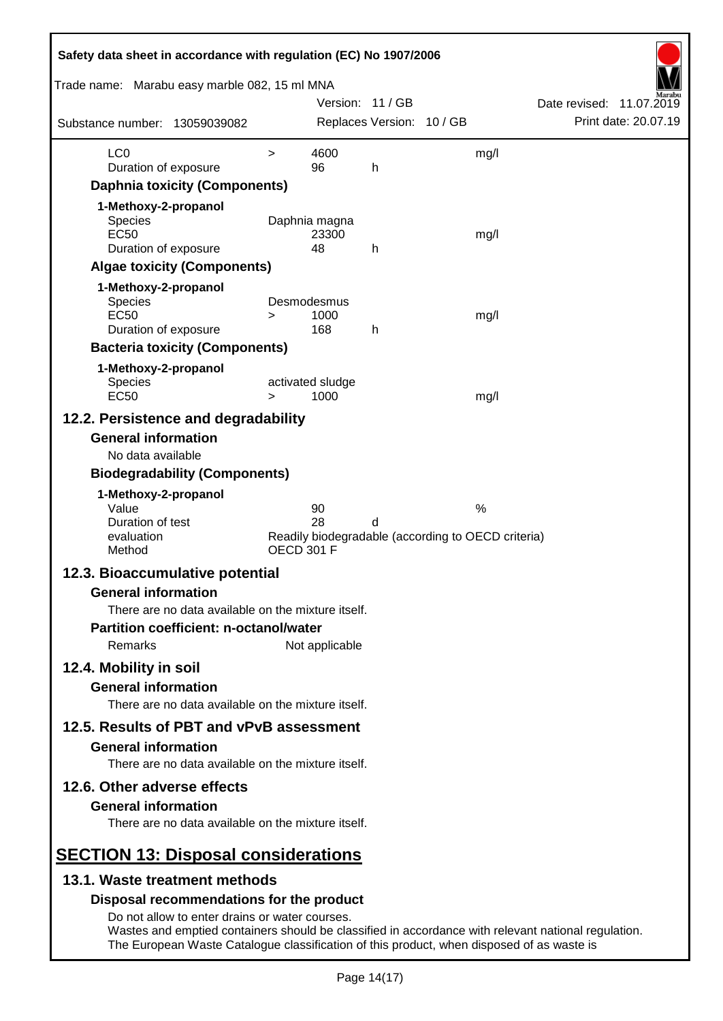| Safety data sheet in accordance with regulation (EC) No 1907/2006                         |                   |                          |                           |                                                                                                     |  |
|-------------------------------------------------------------------------------------------|-------------------|--------------------------|---------------------------|-----------------------------------------------------------------------------------------------------|--|
| Trade name: Marabu easy marble 082, 15 ml MNA                                             |                   | Version: 11 / GB         |                           | Date revised: 11.07.2019                                                                            |  |
| Substance number: 13059039082                                                             |                   |                          | Replaces Version: 10 / GB | Print date: 20.07.19                                                                                |  |
| LC <sub>0</sub>                                                                           | $\geq$            | 4600                     |                           | mg/l                                                                                                |  |
| Duration of exposure                                                                      |                   | 96                       | h                         |                                                                                                     |  |
| <b>Daphnia toxicity (Components)</b>                                                      |                   |                          |                           |                                                                                                     |  |
| 1-Methoxy-2-propanol                                                                      |                   |                          |                           |                                                                                                     |  |
| Species<br><b>EC50</b>                                                                    |                   | Daphnia magna            |                           |                                                                                                     |  |
| Duration of exposure                                                                      |                   | 23300<br>48              | h                         | mg/l                                                                                                |  |
| <b>Algae toxicity (Components)</b>                                                        |                   |                          |                           |                                                                                                     |  |
| 1-Methoxy-2-propanol                                                                      |                   |                          |                           |                                                                                                     |  |
| <b>Species</b>                                                                            |                   | Desmodesmus              |                           |                                                                                                     |  |
| <b>EC50</b>                                                                               | >                 | 1000                     |                           | mg/l                                                                                                |  |
| Duration of exposure                                                                      |                   | 168                      | h                         |                                                                                                     |  |
| <b>Bacteria toxicity (Components)</b>                                                     |                   |                          |                           |                                                                                                     |  |
| 1-Methoxy-2-propanol                                                                      |                   |                          |                           |                                                                                                     |  |
| <b>Species</b><br><b>EC50</b>                                                             | $\geq$            | activated sludge<br>1000 |                           | mg/l                                                                                                |  |
| 12.2. Persistence and degradability                                                       |                   |                          |                           |                                                                                                     |  |
| <b>General information</b>                                                                |                   |                          |                           |                                                                                                     |  |
| No data available                                                                         |                   |                          |                           |                                                                                                     |  |
| <b>Biodegradability (Components)</b>                                                      |                   |                          |                           |                                                                                                     |  |
| 1-Methoxy-2-propanol                                                                      |                   |                          |                           |                                                                                                     |  |
| Value                                                                                     |                   | 90                       |                           | $\%$                                                                                                |  |
| Duration of test                                                                          |                   | 28                       | d                         |                                                                                                     |  |
| evaluation<br>Method                                                                      | <b>OECD 301 F</b> |                          |                           | Readily biodegradable (according to OECD criteria)                                                  |  |
| 12.3. Bioaccumulative potential                                                           |                   |                          |                           |                                                                                                     |  |
| <b>General information</b>                                                                |                   |                          |                           |                                                                                                     |  |
| There are no data available on the mixture itself.                                        |                   |                          |                           |                                                                                                     |  |
| <b>Partition coefficient: n-octanol/water</b>                                             |                   |                          |                           |                                                                                                     |  |
| <b>Remarks</b>                                                                            |                   | Not applicable           |                           |                                                                                                     |  |
| 12.4. Mobility in soil                                                                    |                   |                          |                           |                                                                                                     |  |
| <b>General information</b>                                                                |                   |                          |                           |                                                                                                     |  |
| There are no data available on the mixture itself.                                        |                   |                          |                           |                                                                                                     |  |
|                                                                                           |                   |                          |                           |                                                                                                     |  |
| 12.5. Results of PBT and vPvB assessment                                                  |                   |                          |                           |                                                                                                     |  |
| <b>General information</b><br>There are no data available on the mixture itself.          |                   |                          |                           |                                                                                                     |  |
| 12.6. Other adverse effects                                                               |                   |                          |                           |                                                                                                     |  |
| <b>General information</b>                                                                |                   |                          |                           |                                                                                                     |  |
| There are no data available on the mixture itself.                                        |                   |                          |                           |                                                                                                     |  |
| <b>SECTION 13: Disposal considerations</b>                                                |                   |                          |                           |                                                                                                     |  |
| 13.1. Waste treatment methods                                                             |                   |                          |                           |                                                                                                     |  |
| Disposal recommendations for the product                                                  |                   |                          |                           |                                                                                                     |  |
| Do not allow to enter drains or water courses.                                            |                   |                          |                           |                                                                                                     |  |
| The European Waste Catalogue classification of this product, when disposed of as waste is |                   |                          |                           | Wastes and emptied containers should be classified in accordance with relevant national regulation. |  |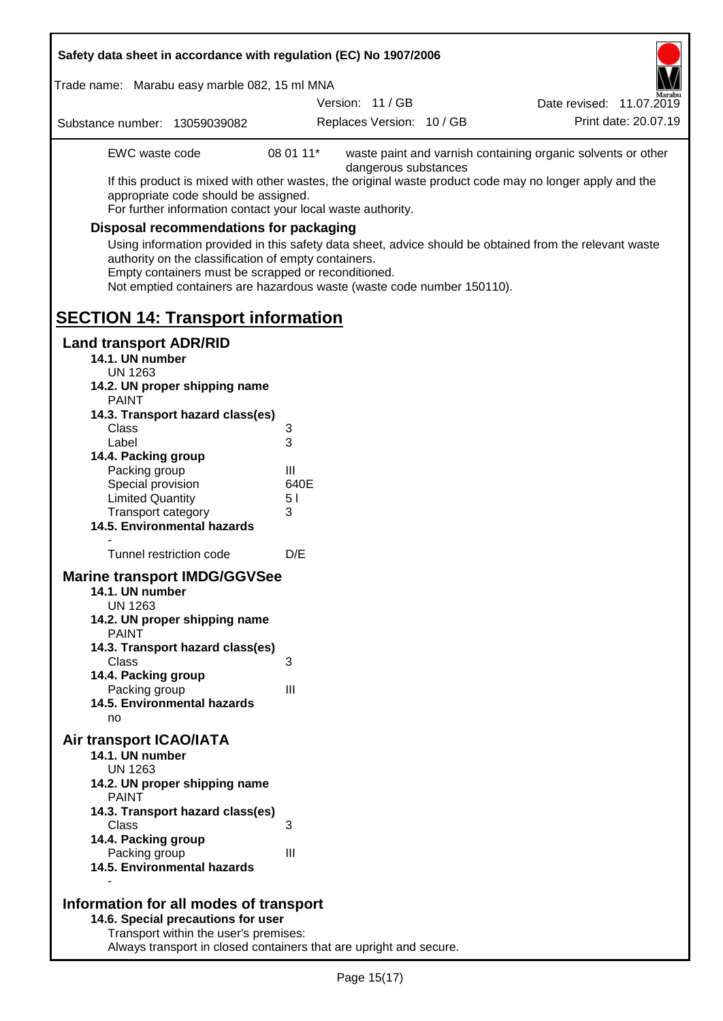| Safety data sheet in accordance with regulation (EC) No 1907/2006                                                                                                                                                                                                                                                                                                                                                                                                                                                                                                                     |                                                        |                           |  |                                                              |  |
|---------------------------------------------------------------------------------------------------------------------------------------------------------------------------------------------------------------------------------------------------------------------------------------------------------------------------------------------------------------------------------------------------------------------------------------------------------------------------------------------------------------------------------------------------------------------------------------|--------------------------------------------------------|---------------------------|--|--------------------------------------------------------------|--|
| Trade name: Marabu easy marble 082, 15 ml MNA                                                                                                                                                                                                                                                                                                                                                                                                                                                                                                                                         |                                                        | Version: 11 / GB          |  | Date revised: 11.07.2019                                     |  |
| Substance number: 13059039082                                                                                                                                                                                                                                                                                                                                                                                                                                                                                                                                                         |                                                        | Replaces Version: 10 / GB |  | Print date: 20.07.19                                         |  |
| EWC waste code<br>If this product is mixed with other wastes, the original waste product code may no longer apply and the<br>appropriate code should be assigned.<br>For further information contact your local waste authority.<br><b>Disposal recommendations for packaging</b><br>Using information provided in this safety data sheet, advice should be obtained from the relevant waste<br>authority on the classification of empty containers.<br>Empty containers must be scrapped or reconditioned.<br>Not emptied containers are hazardous waste (waste code number 150110). | 08 01 11*                                              | dangerous substances      |  | waste paint and varnish containing organic solvents or other |  |
| <b>SECTION 14: Transport information</b>                                                                                                                                                                                                                                                                                                                                                                                                                                                                                                                                              |                                                        |                           |  |                                                              |  |
| <b>Land transport ADR/RID</b><br>14.1. UN number<br><b>UN 1263</b><br>14.2. UN proper shipping name<br><b>PAINT</b><br>14.3. Transport hazard class(es)<br>Class<br>Label<br>14.4. Packing group<br>Packing group<br>Special provision<br><b>Limited Quantity</b><br>Transport category<br>14.5. Environmental hazards<br>Tunnel restriction code<br><b>Marine transport IMDG/GGVSee</b><br>14.1. UN number<br><b>UN 1263</b><br>14.2. UN proper shipping name<br><b>PAINT</b><br>14.3. Transport hazard class(es)<br>Class<br>14.4. Packing group                                    | 3<br>3<br>Ш<br>640E<br>5 <sub>1</sub><br>3<br>D/E<br>3 |                           |  |                                                              |  |
| Packing group<br>14.5. Environmental hazards<br>no                                                                                                                                                                                                                                                                                                                                                                                                                                                                                                                                    | III                                                    |                           |  |                                                              |  |
| Air transport ICAO/IATA<br>14.1. UN number<br><b>UN 1263</b><br>14.2. UN proper shipping name<br><b>PAINT</b><br>14.3. Transport hazard class(es)                                                                                                                                                                                                                                                                                                                                                                                                                                     |                                                        |                           |  |                                                              |  |
| Class<br>14.4. Packing group<br>Packing group<br>14.5. Environmental hazards                                                                                                                                                                                                                                                                                                                                                                                                                                                                                                          | 3<br>III                                               |                           |  |                                                              |  |
| Information for all modes of transport<br>14.6. Special precautions for user<br>Transport within the user's premises:                                                                                                                                                                                                                                                                                                                                                                                                                                                                 |                                                        |                           |  |                                                              |  |

Always transport in closed containers that are upright and secure.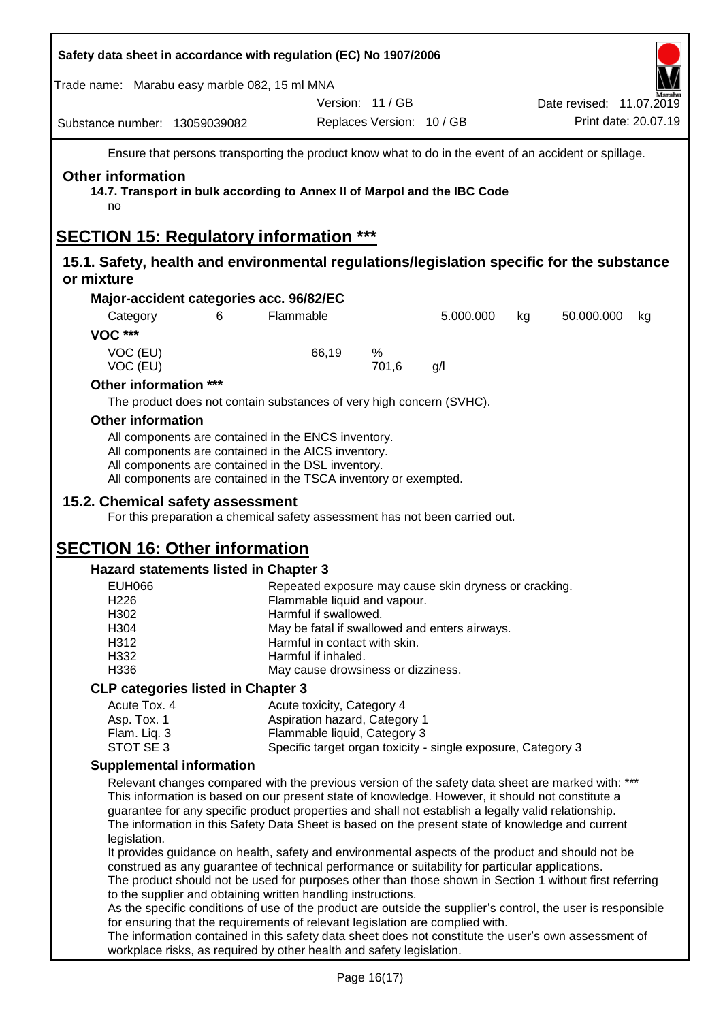| Safety data sheet in accordance with regulation (EC) No 1907/2006                                       |                                              |                                                                                                                                                                                                                                                                                                                                                                                                                  |                           |           |                  |                          |
|---------------------------------------------------------------------------------------------------------|----------------------------------------------|------------------------------------------------------------------------------------------------------------------------------------------------------------------------------------------------------------------------------------------------------------------------------------------------------------------------------------------------------------------------------------------------------------------|---------------------------|-----------|------------------|--------------------------|
| Trade name: Marabu easy marble 082, 15 ml MNA                                                           |                                              |                                                                                                                                                                                                                                                                                                                                                                                                                  |                           |           |                  |                          |
|                                                                                                         |                                              |                                                                                                                                                                                                                                                                                                                                                                                                                  | Version: 11 / GB          |           |                  | Date revised: 11.07.2019 |
| Substance number: 13059039082                                                                           |                                              |                                                                                                                                                                                                                                                                                                                                                                                                                  | Replaces Version: 10 / GB |           |                  | Print date: 20.07.19     |
|                                                                                                         |                                              | Ensure that persons transporting the product know what to do in the event of an accident or spillage.                                                                                                                                                                                                                                                                                                            |                           |           |                  |                          |
| <b>Other information</b><br>no                                                                          |                                              | 14.7. Transport in bulk according to Annex II of Marpol and the IBC Code                                                                                                                                                                                                                                                                                                                                         |                           |           |                  |                          |
| <b>SECTION 15: Regulatory information ***</b>                                                           |                                              |                                                                                                                                                                                                                                                                                                                                                                                                                  |                           |           |                  |                          |
| 15.1. Safety, health and environmental regulations/legislation specific for the substance<br>or mixture |                                              |                                                                                                                                                                                                                                                                                                                                                                                                                  |                           |           |                  |                          |
|                                                                                                         | Major-accident categories acc. 96/82/EC      |                                                                                                                                                                                                                                                                                                                                                                                                                  |                           |           |                  |                          |
| Category<br><b>VOC ***</b>                                                                              | 6                                            | Flammable                                                                                                                                                                                                                                                                                                                                                                                                        |                           | 5.000.000 | 50.000.000<br>kg | kg                       |
| VOC (EU)<br>VOC (EU)                                                                                    |                                              | 66,19                                                                                                                                                                                                                                                                                                                                                                                                            | %<br>701,6                | g/l       |                  |                          |
| Other information ***                                                                                   |                                              |                                                                                                                                                                                                                                                                                                                                                                                                                  |                           |           |                  |                          |
|                                                                                                         |                                              | The product does not contain substances of very high concern (SVHC).                                                                                                                                                                                                                                                                                                                                             |                           |           |                  |                          |
| <b>Other information</b>                                                                                |                                              |                                                                                                                                                                                                                                                                                                                                                                                                                  |                           |           |                  |                          |
|                                                                                                         |                                              | All components are contained in the ENCS inventory.<br>All components are contained in the AICS inventory.<br>All components are contained in the DSL inventory.<br>All components are contained in the TSCA inventory or exempted.                                                                                                                                                                              |                           |           |                  |                          |
| 15.2. Chemical safety assessment                                                                        |                                              | For this preparation a chemical safety assessment has not been carried out.                                                                                                                                                                                                                                                                                                                                      |                           |           |                  |                          |
| <b>SECTION 16: Other information</b>                                                                    |                                              |                                                                                                                                                                                                                                                                                                                                                                                                                  |                           |           |                  |                          |
|                                                                                                         | <b>Hazard statements listed in Chapter 3</b> |                                                                                                                                                                                                                                                                                                                                                                                                                  |                           |           |                  |                          |
| <b>EUH066</b>                                                                                           |                                              | Repeated exposure may cause skin dryness or cracking.                                                                                                                                                                                                                                                                                                                                                            |                           |           |                  |                          |
| H226<br>H302                                                                                            |                                              | Flammable liquid and vapour.                                                                                                                                                                                                                                                                                                                                                                                     |                           |           |                  |                          |
| H304                                                                                                    |                                              | Harmful if swallowed.<br>May be fatal if swallowed and enters airways.                                                                                                                                                                                                                                                                                                                                           |                           |           |                  |                          |
| H312                                                                                                    |                                              | Harmful in contact with skin.                                                                                                                                                                                                                                                                                                                                                                                    |                           |           |                  |                          |
| H332                                                                                                    |                                              | Harmful if inhaled.                                                                                                                                                                                                                                                                                                                                                                                              |                           |           |                  |                          |
| H336                                                                                                    |                                              | May cause drowsiness or dizziness.                                                                                                                                                                                                                                                                                                                                                                               |                           |           |                  |                          |
|                                                                                                         | <b>CLP categories listed in Chapter 3</b>    |                                                                                                                                                                                                                                                                                                                                                                                                                  |                           |           |                  |                          |
| Acute Tox. 4<br>Asp. Tox. 1                                                                             |                                              | Acute toxicity, Category 4<br>Aspiration hazard, Category 1                                                                                                                                                                                                                                                                                                                                                      |                           |           |                  |                          |
| Flam. Liq. 3                                                                                            |                                              | Flammable liquid, Category 3                                                                                                                                                                                                                                                                                                                                                                                     |                           |           |                  |                          |
| STOT SE 3                                                                                               |                                              | Specific target organ toxicity - single exposure, Category 3                                                                                                                                                                                                                                                                                                                                                     |                           |           |                  |                          |
|                                                                                                         | <b>Supplemental information</b>              |                                                                                                                                                                                                                                                                                                                                                                                                                  |                           |           |                  |                          |
| legislation.                                                                                            |                                              | Relevant changes compared with the previous version of the safety data sheet are marked with: ***<br>This information is based on our present state of knowledge. However, it should not constitute a<br>guarantee for any specific product properties and shall not establish a legally valid relationship.<br>The information in this Safety Data Sheet is based on the present state of knowledge and current |                           |           |                  |                          |
|                                                                                                         |                                              | It provides guidance on health, safety and environmental aspects of the product and should not be<br>construed as any guarantee of technical performance or suitability for particular applications.<br>The product should not be used for purposes other than those shown in Section 1 without first referring<br>to the supplier and obtaining written handling instructions.                                  |                           |           |                  |                          |
|                                                                                                         |                                              | As the specific conditions of use of the product are outside the supplier's control, the user is responsible                                                                                                                                                                                                                                                                                                     |                           |           |                  |                          |
|                                                                                                         |                                              | for ensuring that the requirements of relevant legislation are complied with.<br>The information contained in this safety data sheet does not constitute the user's own assessment of                                                                                                                                                                                                                            |                           |           |                  |                          |
|                                                                                                         |                                              | workplace risks, as required by other health and safety legislation.                                                                                                                                                                                                                                                                                                                                             |                           |           |                  |                          |